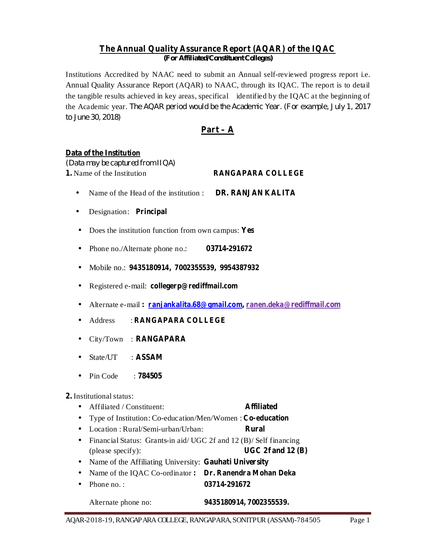#### **The Annual Quality Assurance Report (AQAR) of the IQAC** *(For Af iliated/Constituent Colleges)*

Institutions Accredited by NAAC need to submit an Annual self-reviewed progress report i.e. Annual Quality Assurance Report (AQAR) to NAAC, through its IQAC. The report is to detail the tangible results achieved in key areas, specifical identified by the IQAC at the beginning of the Academic year. *The AQAR period would be the Academic Year. (For example, July 1, 2017 to June 30, 2018)*

# **Part – A**

#### **Data of the Institution**

**1. RANGAPARA COLLEGE** 1. Name of the Institution *(Data may be captured from IIQA)*

- **DR. RANJAN KALITA** • Name of the Head of the institution :
- **•** Designation: Principal
- Does the institution function from own campus: Yes
- **03714-291672** • Phone no./Alternate phone no.:
- **9435180914, 7002355539, 9954387932** Mobile no.: •
- **•** Registered e-mail: collegerp@rediffmail.com
- **·** Alternate e-mail: **ranjankalita.68@gmail.com, ranen.deka@rediffmail.com**
- **RANGAPARA COLLEGE** • Address :
- **•** City/Town : **RANGAPARA**
- **ASSAM** • State/UT :
- **784505** • Pin Code :

### **2.** Institutional status:

- **Affiliated** • Affiliated / Constituent:
- **Type of Institution: Co-education/Men/Women: Co-education**
- **Rural** • Location: Rural/Semi-urban/Urban:
- **UGC 2f and 12 (B)** • Financial Status: Grants-in aid/ UGC 2f and 12 (B)/ Self financing (please specify):
- Name of the Affiliating University: Gauhati University
- Name of the IQAC Co-ordinator: Dr. Ranendra Mohan Deka
- **03714-291672** • Phone no.:

Alternate phone no:

**9435180914, 7002355539.**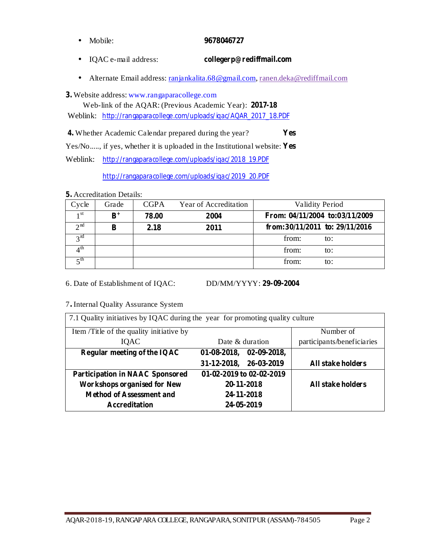- Mobile: **9678046727**
- IQAC e-mail address: **collegerp@rediffmail.com**
- Alternate Email address: ranjankalita.68@gmail.com, ranen.deka@rediffmail.com

Website address: www.rangaparacollege.com **3.**

Web-link of the AQAR: (Previous Academic Year): **2017-18**

Weblink: http://rangaparacollege.com/uploads/iqac/AQAR\_2017\_18.PDF

Whether Academic Calendar prepared during the year? **4. Yes**

Yes/No....., if yes, whether it is uploaded in the Institutional website: **Yes**

Weblink: http://rangaparacollege.com/uploads/iqac/2018\_19.PDF

http://rangaparacollege.com/uploads/iqac/2019\_20.PDF

Accreditation Details: **5.**

| Cycle                | Grade       | <b>CGPA</b> | Year of Accreditation | <b>Validity Period</b>           |
|----------------------|-------------|-------------|-----------------------|----------------------------------|
| 1 <sup>st</sup>      | ${\bf R}^+$ | 78.00       | 2004                  | From: 04/11/2004 to:03/11/2009   |
| $\gamma$ nd          |             | 2.18        | 2011                  | from:30/11/2011 to: $29/11/2016$ |
| $2^{\text{rd}}$      |             |             |                       | from:<br>to:                     |
| ∕1 <sup>th</sup>     |             |             |                       | from:<br>to:                     |
| $\leq$ <sup>th</sup> |             |             |                       | from:<br>to:                     |

6. Date of Establishment of IQAC:

**29-09-2004**

7 Internal Quality Assurance System **.**

| 7.1 Quality initiatives by IQAC during the year for promoting quality culture |                                      |                            |  |  |  |  |  |  |  |
|-------------------------------------------------------------------------------|--------------------------------------|----------------------------|--|--|--|--|--|--|--|
| Item /Title of the quality initiative by                                      |                                      | Number of                  |  |  |  |  |  |  |  |
| <b>IOAC</b>                                                                   | Date & duration                      | participants/beneficiaries |  |  |  |  |  |  |  |
| Regular meeting of the IQAC                                                   | $02 - 09 - 2018$ ,<br>$01-08-2018$ , |                            |  |  |  |  |  |  |  |
|                                                                               | 26-03-2019<br>31-12-2018,            | All stake holders          |  |  |  |  |  |  |  |
| <b>Participation in NAAC Sponsored</b>                                        | 01-02-2019 to 02-02-2019             |                            |  |  |  |  |  |  |  |
| <b>Workshops organised for New</b>                                            | 20-11-2018                           | All stake holders          |  |  |  |  |  |  |  |
| <b>Method of Assessment and</b>                                               | 24-11-2018                           |                            |  |  |  |  |  |  |  |
| <b>Accreditation</b>                                                          | 24-05-2019                           |                            |  |  |  |  |  |  |  |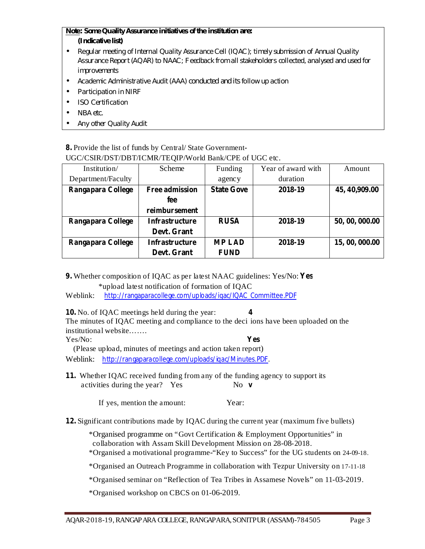# *Note: Some Quality Assurance initiatives of the institution are:*

- *(Indicative list)*
- *Regular meeting of Internal Quality Assurance Cell (IQAC); timely submission of Annual Quality Assurance Report (AQAR) to NAAC; Feedback from all stakeholders collected, analysed and used for improvements*
- *Academic Administrative Audit (AAA) conducted and its follow up action*
- *Participation in NIRF*
- *ISO Certification*
- *NBA etc.*
- *Any other Quality Audit*

#### **8.** Provide the list of funds by Central/ State Government-UGC/CSIR/DST/DBT/ICMR/TEQIP/World Bank/CPE of UGC etc.

| Institution/       | Scheme                | Funding           | Year of award with | Amount         |  |
|--------------------|-----------------------|-------------------|--------------------|----------------|--|
| Department/Faculty |                       | agency            | duration           |                |  |
| Rangapara College  | <b>Free admission</b> | <b>State Gove</b> | 2018-19            | 45, 40, 909.00 |  |
|                    | fee                   |                   |                    |                |  |
|                    | reimbursement         |                   |                    |                |  |
| Rangapara College  | <b>Infrastructure</b> | <b>RUSA</b>       | 2018-19            | 50, 00, 000.00 |  |
|                    | Devt. Grant           |                   |                    |                |  |
| Rangapara College  | <b>Infrastructure</b> | <b>MP LAD</b>     | 2018-19            | 15, 00, 000.00 |  |
|                    | Devt. Grant           | <b>FUND</b>       |                    |                |  |

**9. Yes** Whether composition of IQAC as per latest NAAC guidelines: Yes/No:

\*upload latest notification of formation of IQAC

Weblink: http://rangaparacollege.com/uploads/iqac/IQAC\_Committee.PDF

**10. 4** No. of IQAC meetings held during the year:

The minutes of IQAC meeting and compliance to the deci ions have been uploaded on the institutional website…….

Yes/No:

(Please upload, minutes of meetings and action taken report)

Weblink: http://rangaparacollege.com/uploads/iqac/Minutes.PDF.

**11.** Whether IQAC received funding from any of the funding agency to support its No **v** activities during the year? Yes

If yes, mention the amount: Year:

**12.** Significant contributions made by IQAC during the current year (maximum five bullets)

\*Organised programme on "Govt Certification & Employment Opportunities" in collaboration with Assam Skill Development Mission on 28-08-2018.

\*Organised a motivational programme-"Key to Success" for the UG students on 24-09-18.

**Yes**

\*Organised an Outreach Programme in collaboration with Tezpur University on 17-11-18

\*Organised seminar on "Reflection of Tea Tribes in Assamese Novels" on 11-03-2019.

\*Organised workshop on CBCS on 01-06-2019.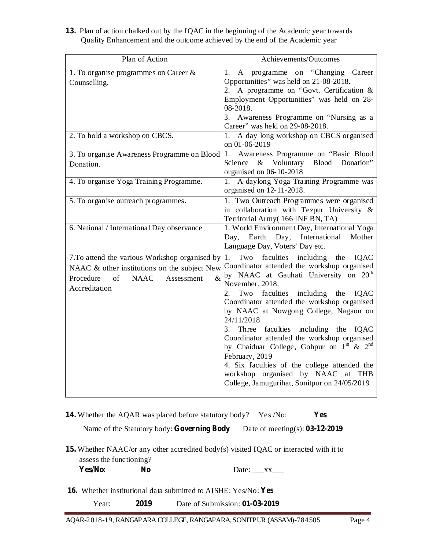**13.** Plan of action chalked out by the IQAC in the beginning of the Academic year towards Quality Enhancement and the outcome achieved by the end of the Academic year

| Plan of Action                                                                                                                                                         | Achievements/Outcomes                                                                                                                                                                                                                                                                                                                                                                                                                                                                                                                                                                                                                |
|------------------------------------------------------------------------------------------------------------------------------------------------------------------------|--------------------------------------------------------------------------------------------------------------------------------------------------------------------------------------------------------------------------------------------------------------------------------------------------------------------------------------------------------------------------------------------------------------------------------------------------------------------------------------------------------------------------------------------------------------------------------------------------------------------------------------|
| 1. To organise programmes on Career $\&$<br>Counselling.                                                                                                               | programme on "Changing Career<br>$\mathbf{A}$<br>1.<br>Opportunities" was held on 21-08-2018.<br>2. A programme on "Govt. Certification $\&$<br>Employment Opportunities" was held on 28-<br>08-2018.<br>3. Awareness Programme on "Nursing as a<br>Career" was held on 29-08-2018.                                                                                                                                                                                                                                                                                                                                                  |
| 2. To hold a workshop on CBCS.                                                                                                                                         | 1. A day long workshop on CBCS organised<br>on 01-06-2019                                                                                                                                                                                                                                                                                                                                                                                                                                                                                                                                                                            |
| 3. To organise Awareness Programme on Blood<br>Donation.                                                                                                               | 1. Awareness Programme on "Basic Blood"<br>& Voluntary Blood Donation"<br>Science<br>organised on 06-10-2018                                                                                                                                                                                                                                                                                                                                                                                                                                                                                                                         |
| 4. To organise Yoga Training Programme.                                                                                                                                | 1. A daylong Yoga Training Programme was<br>organised on 12-11-2018.                                                                                                                                                                                                                                                                                                                                                                                                                                                                                                                                                                 |
| 5. To organise outreach programmes.                                                                                                                                    | 1. Two Outreach Programmes were organised<br>in collaboration with Tezpur University &<br>Territorial Army(166 INF BN, TA)                                                                                                                                                                                                                                                                                                                                                                                                                                                                                                           |
| 6. National / International Day observance                                                                                                                             | 1. World Environment Day, International Yoga<br>Earth<br>Day, International<br>Mother<br>Day,<br>Language Day, Voters' Day etc.                                                                                                                                                                                                                                                                                                                                                                                                                                                                                                      |
| 7.To attend the various Workshop organised by<br>NAAC & other institutions on the subject New<br>$\&$<br>Procedure<br>of<br><b>NAAC</b><br>Assessment<br>Accreditation | including<br>faculties<br>the<br>$1.$ Two<br>IQAC<br>Coordinator attended the workshop organised<br>by NAAC at Gauhati University on $20th$<br>November, 2018.<br>faculties including the<br>Two<br>IQAC<br>Coordinator attended the workshop organised<br>by NAAC at Nowgong College, Nagaon on<br>24/11/2018<br>Three faculties including the IQAC<br>3.<br>Coordinator attended the workshop organised<br>by Chaiduar College, Gohpur on $1^{\text{st}}$ & $2^{\text{nd}}$<br>February, 2019<br>4. Six faculties of the college attended the<br>workshop organised by NAAC at THB<br>College, Jamugurihat, Sonitpur on 24/05/2019 |

**14. Yes** Whether the AQAR was placed before statutory body? Yes /No:

Date of meeting(s): **03-12-2019** Name of the Statutory body: Governing Body

**15.** Whether NAAC/or any other accredited body(s) visited IQAC or interacted with it to assess the functioning?

**Yes/No: No** Date:  $_{\_\_$  xx $_{\_\_}$ 

16. Whether institutional data submitted to AISHE: Yes/No: Yes

Year: **2019** Date of Submission: **01-03-2019**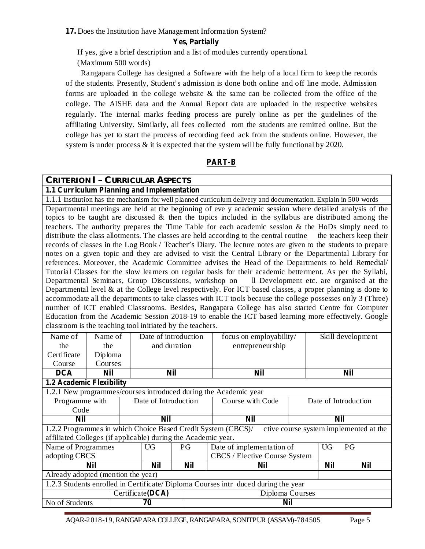**17.** Does the Institution have Management Information System?

#### **Yes, Partially**

If yes, give a brief description and a list of modules currently operational.

(Maximum 500 words)

Rangapara College has designed a Software with the help of a local firm to keep the records of the students. Presently, Student's admission is done both online and off line mode. Admission forms are uploaded in the college website & the same can be collected from the office of the college. The AISHE data and the Annual Report data are uploaded in the respective websites regularly. The internal marks feeding process are purely online as per the guidelines of the affiliating University. Similarly, all fees collected rom the students are remitted online. But the college has yet to start the process of recording feed ack from the students online. However, the system is under process & it is expected that the system will be fully functional by 2020.

# **PART-B**

## **CRITERION I – CURRICULAR ASPECTS**

### **1.1 Curriculum Planning and Implementation**

1.1.1 Institution has the mechanism for well planned curriculum delivery and documentation. Explain in 500 words Departmental meetings are held at the beginning of eve y academic session where detailed analysis of the topics to be taught are discussed  $\&$  then the topics included in the syllabus are distributed among the teachers. The authority prepares the Time Table for each academic session & the HoDs simply need to distribute the class allotments. The classes are held according to the central routine the teachers keep their records of classes in the Log Book / Teacher's Diary. The lecture notes are given to the students to prepare notes on a given topic and they are advised to visit the Central Library or the Departmental Library for references. Moreover, the Academic Committee advises the Head of the Departments to held Remedial/ Tutorial Classes for the slow learners on regular basis for their academic betterment. As per the Syllabi, Departmental Seminars, Group Discussions, workshop on ll Development etc. are organised at the Departmental level  $\&$  at the College level respectively. For ICT based classes, a proper planning is done to accommodate all the departments to take classes with ICT tools because the college possesses only 3 (Three) number of ICT enabled Classrooms. Besides, Rangapara College has also started Centre for Computer Education from the Academic Session 2018-19 to enable the ICT based learning more effectively. Google classroom is the teaching tool initiated by the teachers.

| Name of                                                                           | Name of    |  |                      | Date of introduction | focus on employability/                                      |           | Skill development    |                                        |  |
|-----------------------------------------------------------------------------------|------------|--|----------------------|----------------------|--------------------------------------------------------------|-----------|----------------------|----------------------------------------|--|
| the                                                                               | the        |  |                      | and duration         | entrepreneurship                                             |           |                      |                                        |  |
| Certificate                                                                       | Diploma    |  |                      |                      |                                                              |           |                      |                                        |  |
| Course                                                                            | Courses    |  |                      |                      |                                                              |           |                      |                                        |  |
| <b>DCA</b>                                                                        | <b>Nil</b> |  |                      | <b>Nil</b>           | <b>Nil</b>                                                   |           |                      | <b>Nil</b>                             |  |
| 1.2 Academic Flexibility                                                          |            |  |                      |                      |                                                              |           |                      |                                        |  |
| 1.2.1 New programmes/courses introduced during the Academic year                  |            |  |                      |                      |                                                              |           |                      |                                        |  |
| Programme with                                                                    |            |  | Date of Introduction |                      | Course with Code                                             |           | Date of Introduction |                                        |  |
| Code                                                                              |            |  |                      |                      |                                                              |           |                      |                                        |  |
| <b>Nil</b>                                                                        |            |  | <b>Nil</b>           |                      | Nil                                                          |           | Nil                  |                                        |  |
|                                                                                   |            |  |                      |                      | 1.2.2 Programmes in which Choice Based Credit System (CBCS)/ |           |                      | ctive course system implemented at the |  |
| affiliated Colleges (if applicable) during the Academic year.                     |            |  |                      |                      |                                                              |           |                      |                                        |  |
| Name of Programmes                                                                |            |  | UG                   | PG                   | Date of implementation of                                    | <b>UG</b> | PG                   |                                        |  |
| adopting CBCS                                                                     |            |  |                      |                      | CBCS / Elective Course System                                |           |                      |                                        |  |
| Nil<br>Nil                                                                        |            |  | <b>Nil</b>           | Nil                  |                                                              |           |                      |                                        |  |
| Already adopted (mention the year)                                                |            |  |                      |                      |                                                              |           |                      |                                        |  |
| 1.2.3 Students enrolled in Certificate/Diploma Courses intr duced during the year |            |  |                      |                      |                                                              |           |                      |                                        |  |
| Certificate(DCA)                                                                  |            |  |                      |                      | Diploma Courses                                              |           |                      |                                        |  |
| No of Students<br>70                                                              |            |  |                      |                      | <b>Nil</b>                                                   |           |                      |                                        |  |

AQAR-2018-19,RANGAPARACOLLEGE,RANGAPARA,SONITPUR (ASSAM)-784505 Page 5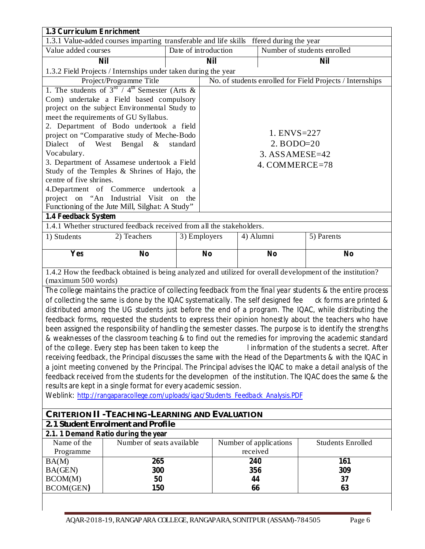| 1.3 Curriculum Enrichment                                                               |                                                                                  |          |                |           |                        |                                                                                                             |  |  |
|-----------------------------------------------------------------------------------------|----------------------------------------------------------------------------------|----------|----------------|-----------|------------------------|-------------------------------------------------------------------------------------------------------------|--|--|
| 1.3.1 Value-added courses imparting transferable and life skills ffered during the year |                                                                                  |          |                |           |                        |                                                                                                             |  |  |
| Date of introduction<br>Number of students enrolled<br>Value added courses              |                                                                                  |          |                |           |                        |                                                                                                             |  |  |
|                                                                                         | <b>Nil</b>                                                                       |          | <b>Nil</b>     |           |                        | <b>Nil</b>                                                                                                  |  |  |
| 1.3.2 Field Projects / Internships under taken during the year                          |                                                                                  |          |                |           |                        |                                                                                                             |  |  |
|                                                                                         | Project/Programme Title                                                          |          |                |           |                        | No. of students enrolled for Field Projects / Internships                                                   |  |  |
|                                                                                         | 1. The students of $3^{rd}$ / 4 <sup>th</sup> Semester (Arts &                   |          |                |           |                        |                                                                                                             |  |  |
|                                                                                         | Com) undertake a Field based compulsory                                          |          |                |           |                        |                                                                                                             |  |  |
|                                                                                         | project on the subject Environmental Study to                                    |          |                |           |                        |                                                                                                             |  |  |
|                                                                                         | meet the requirements of GU Syllabus.                                            |          |                |           |                        |                                                                                                             |  |  |
|                                                                                         | 2. Department of Bodo undertook a field                                          |          |                |           |                        |                                                                                                             |  |  |
|                                                                                         | project on "Comparative study of Meche-Bodo                                      |          |                |           | 1. ENVS=227            |                                                                                                             |  |  |
| Dialect of                                                                              | West<br>Bengal &                                                                 | standard |                |           | $2. BODO=20$           |                                                                                                             |  |  |
| Vocabulary.                                                                             |                                                                                  |          |                |           | 3. ASSAMESE=42         |                                                                                                             |  |  |
|                                                                                         | 3. Department of Assamese undertook a Field                                      |          |                |           | 4. COMMERCE=78         |                                                                                                             |  |  |
|                                                                                         | Study of the Temples & Shrines of Hajo, the                                      |          |                |           |                        |                                                                                                             |  |  |
| centre of five shrines.                                                                 | 4. Department of Commerce undertook a                                            |          |                |           |                        |                                                                                                             |  |  |
|                                                                                         | project on "An Industrial Visit on the                                           |          |                |           |                        |                                                                                                             |  |  |
|                                                                                         | Functioning of the Jute Mill, Silghat: A Study"                                  |          |                |           |                        |                                                                                                             |  |  |
| 1.4 Feedback System                                                                     |                                                                                  |          |                |           |                        |                                                                                                             |  |  |
|                                                                                         | 1.4.1 Whether structured feedback received from all the stakeholders.            |          |                |           |                        |                                                                                                             |  |  |
| 1) Students                                                                             | 2) Teachers                                                                      |          | 3) Employers   | 4) Alumni |                        | 5) Parents                                                                                                  |  |  |
|                                                                                         |                                                                                  |          |                |           |                        |                                                                                                             |  |  |
| Yes                                                                                     | N <sub>0</sub>                                                                   |          | N <sub>0</sub> |           | N <sub>0</sub>         | N <sub>0</sub>                                                                                              |  |  |
|                                                                                         |                                                                                  |          |                |           |                        | 1.4.2 How the feedback obtained is being analyzed and utilized for overall development of the institution?  |  |  |
| (maximum 500 words)                                                                     |                                                                                  |          |                |           |                        |                                                                                                             |  |  |
|                                                                                         |                                                                                  |          |                |           |                        | The college maintains the practice of collecting feedback from the final year students & the entire process |  |  |
|                                                                                         | of collecting the same is done by the IQAC systematically. The self designed fee |          |                |           |                        | ck forms are printed &                                                                                      |  |  |
|                                                                                         |                                                                                  |          |                |           |                        | distributed among the UG students just before the end of a program. The IQAC, while distributing the        |  |  |
|                                                                                         |                                                                                  |          |                |           |                        | feedback forms, requested the students to express their opinion honestly about the teachers who have        |  |  |
|                                                                                         |                                                                                  |          |                |           |                        | been assigned the responsibility of handling the semester classes. The purpose is to identify the strengths |  |  |
|                                                                                         |                                                                                  |          |                |           |                        | & weaknesses of the classroom teaching & to find out the remedies for improving the academic standard       |  |  |
|                                                                                         | of the college. Every step has been taken to keep the                            |          |                |           |                        | I information of the students a secret. After                                                               |  |  |
|                                                                                         |                                                                                  |          |                |           |                        | receiving feedback, the Principal discusses the same with the Head of the Departments & with the IQAC in    |  |  |
|                                                                                         |                                                                                  |          |                |           |                        | a joint meeting convened by the Principal. The Principal advises the IQAC to make a detail analysis of the  |  |  |
|                                                                                         |                                                                                  |          |                |           |                        | feedback received from the students for the developmen of the institution. The IQAC does the same & the     |  |  |
|                                                                                         | results are kept in a single format for every academic session.                  |          |                |           |                        |                                                                                                             |  |  |
|                                                                                         | Weblink: http://rangaparacollege.com/uploads/igac/Students_Feedback_Analysis.PDF |          |                |           |                        |                                                                                                             |  |  |
|                                                                                         |                                                                                  |          |                |           |                        |                                                                                                             |  |  |
|                                                                                         | CRITERION II - TEACHING-LEARNING AND EVALUATION                                  |          |                |           |                        |                                                                                                             |  |  |
|                                                                                         | 2.1 Student Enrolment and Profile                                                |          |                |           |                        |                                                                                                             |  |  |
|                                                                                         | 2.1. 1 Demand Ratio during the year                                              |          |                |           |                        |                                                                                                             |  |  |
| Name of the<br>Programme                                                                | Number of seats available                                                        |          |                | received  | Number of applications | <b>Students Enrolled</b>                                                                                    |  |  |
| BA(M)                                                                                   | 265                                                                              |          |                | 240       |                        | 161                                                                                                         |  |  |
| BA(GEN)                                                                                 | 300                                                                              |          |                | 356       |                        | 309                                                                                                         |  |  |
| BCOM(M)                                                                                 | 50                                                                               |          |                | 44        |                        | 37                                                                                                          |  |  |
| <b>BCOM(GEN)</b>                                                                        | 150                                                                              | 66<br>63 |                |           |                        |                                                                                                             |  |  |
|                                                                                         |                                                                                  |          |                |           |                        |                                                                                                             |  |  |
|                                                                                         |                                                                                  |          |                |           |                        |                                                                                                             |  |  |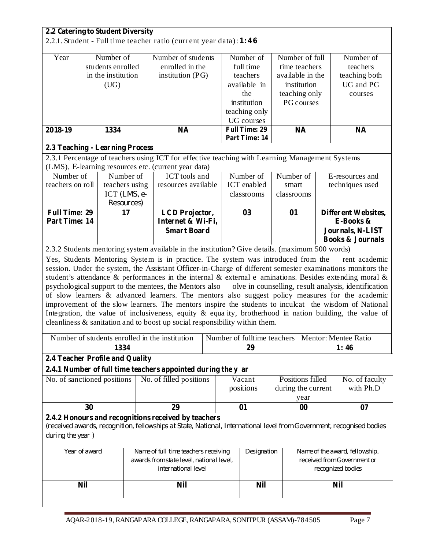| 2.2.1. Student - Full time teacher ratio (current year data): 1:46                                                                                                                                                                                                                                                                                |                                                                                                                                                                                                                                                                                                                                                                                                                                                                                                                                                                                                                                                                                                               |  |  |  |  |  |  |  |  |
|---------------------------------------------------------------------------------------------------------------------------------------------------------------------------------------------------------------------------------------------------------------------------------------------------------------------------------------------------|---------------------------------------------------------------------------------------------------------------------------------------------------------------------------------------------------------------------------------------------------------------------------------------------------------------------------------------------------------------------------------------------------------------------------------------------------------------------------------------------------------------------------------------------------------------------------------------------------------------------------------------------------------------------------------------------------------------|--|--|--|--|--|--|--|--|
| Number of<br>Year<br>Number of students<br>Number of<br>Number of full<br>enrolled in the<br>full time<br>students enrolled<br>time teachers<br>in the institution<br>teachers<br>available in the<br>institution (PG)<br>available in<br>institution<br>(UG)<br>the<br>teaching only<br>institution<br>PG courses<br>teaching only<br>UG courses | Number of<br>teachers<br>teaching both<br>UG and PG<br>courses                                                                                                                                                                                                                                                                                                                                                                                                                                                                                                                                                                                                                                                |  |  |  |  |  |  |  |  |
| <b>Full Time: 29</b><br><b>NA</b><br>2018-19<br>1334<br><b>NA</b><br>Part Time: 14                                                                                                                                                                                                                                                                | <b>NA</b>                                                                                                                                                                                                                                                                                                                                                                                                                                                                                                                                                                                                                                                                                                     |  |  |  |  |  |  |  |  |
| 2.3 Teaching - Learning Process                                                                                                                                                                                                                                                                                                                   |                                                                                                                                                                                                                                                                                                                                                                                                                                                                                                                                                                                                                                                                                                               |  |  |  |  |  |  |  |  |
| 2.3.1 Percentage of teachers using ICT for effective teaching with Learning Management Systems                                                                                                                                                                                                                                                    |                                                                                                                                                                                                                                                                                                                                                                                                                                                                                                                                                                                                                                                                                                               |  |  |  |  |  |  |  |  |
| (LMS), E-learning resources etc. (current year data)                                                                                                                                                                                                                                                                                              |                                                                                                                                                                                                                                                                                                                                                                                                                                                                                                                                                                                                                                                                                                               |  |  |  |  |  |  |  |  |
| Number of<br>ICT tools and<br>Number of<br>Number of<br>Number of<br>E-resources and                                                                                                                                                                                                                                                              |                                                                                                                                                                                                                                                                                                                                                                                                                                                                                                                                                                                                                                                                                                               |  |  |  |  |  |  |  |  |
| teachers on roll<br><b>ICT</b> enabled<br>teachers using<br>resources available<br>techniques used<br>smart                                                                                                                                                                                                                                       |                                                                                                                                                                                                                                                                                                                                                                                                                                                                                                                                                                                                                                                                                                               |  |  |  |  |  |  |  |  |
| ICT $(LMS, e-$<br>classrooms<br>classrooms                                                                                                                                                                                                                                                                                                        |                                                                                                                                                                                                                                                                                                                                                                                                                                                                                                                                                                                                                                                                                                               |  |  |  |  |  |  |  |  |
| Resources)                                                                                                                                                                                                                                                                                                                                        |                                                                                                                                                                                                                                                                                                                                                                                                                                                                                                                                                                                                                                                                                                               |  |  |  |  |  |  |  |  |
| <b>Full Time: 29</b><br>17<br>03<br>01<br><b>LCD</b> Projector,<br><b>Different Websites,</b><br>Part Time: 14<br>Internet & Wi-Fi,<br>E-Books &                                                                                                                                                                                                  |                                                                                                                                                                                                                                                                                                                                                                                                                                                                                                                                                                                                                                                                                                               |  |  |  |  |  |  |  |  |
| <b>Smart Board</b><br>Journals, N-LIST                                                                                                                                                                                                                                                                                                            |                                                                                                                                                                                                                                                                                                                                                                                                                                                                                                                                                                                                                                                                                                               |  |  |  |  |  |  |  |  |
|                                                                                                                                                                                                                                                                                                                                                   | <b>Books &amp; Journals</b>                                                                                                                                                                                                                                                                                                                                                                                                                                                                                                                                                                                                                                                                                   |  |  |  |  |  |  |  |  |
| 2.3.2 Students mentoring system available in the institution? Give details. (maximum 500 words)                                                                                                                                                                                                                                                   |                                                                                                                                                                                                                                                                                                                                                                                                                                                                                                                                                                                                                                                                                                               |  |  |  |  |  |  |  |  |
|                                                                                                                                                                                                                                                                                                                                                   |                                                                                                                                                                                                                                                                                                                                                                                                                                                                                                                                                                                                                                                                                                               |  |  |  |  |  |  |  |  |
| psychological support to the mentees, the Mentors also<br>cleanliness $\&$ sanitation and to boost up social responsibility within them.                                                                                                                                                                                                          | Yes, Students Mentoring System is in practice. The system was introduced from the<br>rent academic<br>session. Under the system, the Assistant Officer-in-Charge of different semester examinations monitors the<br>student's attendance & performances in the internal & external e aminations. Besides extending moral &<br>olve in counselling, result analysis, identification<br>of slow learners & advanced learners. The mentors also suggest policy measures for the academic<br>improvement of the slow learners. The mentors inspire the students to inculcat the wisdom of National<br>Integration, the value of inclusiveness, equity $\&$ equality, brotherhood in nation building, the value of |  |  |  |  |  |  |  |  |
| Number of students enrolled in the institution<br>Number of fulltime teachers<br>Mentor: Mentee Ratio                                                                                                                                                                                                                                             |                                                                                                                                                                                                                                                                                                                                                                                                                                                                                                                                                                                                                                                                                                               |  |  |  |  |  |  |  |  |
| 1334<br>29<br>1:46                                                                                                                                                                                                                                                                                                                                |                                                                                                                                                                                                                                                                                                                                                                                                                                                                                                                                                                                                                                                                                                               |  |  |  |  |  |  |  |  |
| 2.4 Teacher Profile and Quality                                                                                                                                                                                                                                                                                                                   |                                                                                                                                                                                                                                                                                                                                                                                                                                                                                                                                                                                                                                                                                                               |  |  |  |  |  |  |  |  |
| 2.4.1 Number of full time teachers appointed during the y ar                                                                                                                                                                                                                                                                                      |                                                                                                                                                                                                                                                                                                                                                                                                                                                                                                                                                                                                                                                                                                               |  |  |  |  |  |  |  |  |
| No. of filled positions<br>Positions filled<br>No. of sanctioned positions<br>Vacant                                                                                                                                                                                                                                                              | No. of faculty                                                                                                                                                                                                                                                                                                                                                                                                                                                                                                                                                                                                                                                                                                |  |  |  |  |  |  |  |  |
| positions<br>during the current                                                                                                                                                                                                                                                                                                                   | with Ph.D                                                                                                                                                                                                                                                                                                                                                                                                                                                                                                                                                                                                                                                                                                     |  |  |  |  |  |  |  |  |
| year                                                                                                                                                                                                                                                                                                                                              |                                                                                                                                                                                                                                                                                                                                                                                                                                                                                                                                                                                                                                                                                                               |  |  |  |  |  |  |  |  |
| 30<br>29<br>01<br>00                                                                                                                                                                                                                                                                                                                              | 07                                                                                                                                                                                                                                                                                                                                                                                                                                                                                                                                                                                                                                                                                                            |  |  |  |  |  |  |  |  |
|                                                                                                                                                                                                                                                                                                                                                   |                                                                                                                                                                                                                                                                                                                                                                                                                                                                                                                                                                                                                                                                                                               |  |  |  |  |  |  |  |  |
| 2.4.2 Honours and recognitions received by teachers<br>during the year)<br>Year of award<br>Name of full time teachers receiving<br>Designation<br>Name of the award, fellowship,                                                                                                                                                                 | (received awards, recognition, fellowships at State, National, International level from Government, recognised bodies                                                                                                                                                                                                                                                                                                                                                                                                                                                                                                                                                                                         |  |  |  |  |  |  |  |  |
| received from Government or<br>awards from state level, national level,                                                                                                                                                                                                                                                                           |                                                                                                                                                                                                                                                                                                                                                                                                                                                                                                                                                                                                                                                                                                               |  |  |  |  |  |  |  |  |
| international level<br>recognized bodies                                                                                                                                                                                                                                                                                                          |                                                                                                                                                                                                                                                                                                                                                                                                                                                                                                                                                                                                                                                                                                               |  |  |  |  |  |  |  |  |
|                                                                                                                                                                                                                                                                                                                                                   |                                                                                                                                                                                                                                                                                                                                                                                                                                                                                                                                                                                                                                                                                                               |  |  |  |  |  |  |  |  |
| <b>Nil</b><br><b>Nil</b><br><b>Nil</b>                                                                                                                                                                                                                                                                                                            | <b>Nil</b>                                                                                                                                                                                                                                                                                                                                                                                                                                                                                                                                                                                                                                                                                                    |  |  |  |  |  |  |  |  |

Ė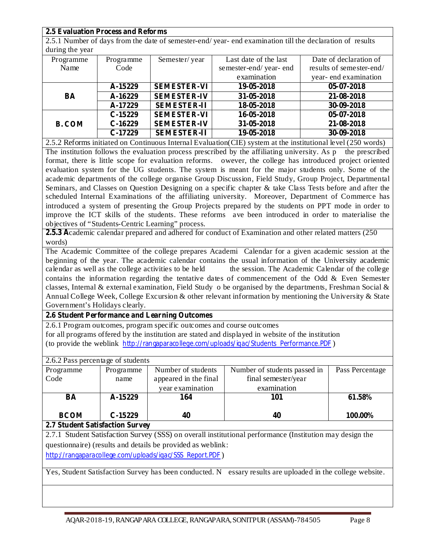| <b>2.5 Evaluation Process and Reforms</b> |  |
|-------------------------------------------|--|
|-------------------------------------------|--|

2.5.1 Number of days from the date of semester-end/ year- end examination till the declaration of results during the year

| $\frac{1}{2}$ |           |                    |                       |                          |
|---------------|-----------|--------------------|-----------------------|--------------------------|
| Programme     | Programme | Semester/year      | Last date of the last | Date of declaration of   |
| Name          | Code      |                    | semester-end/year-end | results of semester-end/ |
|               |           |                    | examination           | year-end examination     |
|               | A-15229   | <b>SEMESTER-VI</b> | 19-05-2018            | $05-07-2018$             |
| BA            | A-16229   | <b>SEMESTER-IV</b> | 31-05-2018            | 21-08-2018               |
|               | A-17229   | <b>SEMESTER-II</b> | 18-05-2018            | 30-09-2018               |
|               | $C-15229$ | <b>SEMESTER-VI</b> | 16-05-2018            | 05-07-2018               |
| <b>B. COM</b> | $C-16229$ | <b>SEMESTER-IV</b> | 31-05-2018            | 21-08-2018               |
|               | $C-17229$ | <b>SEMESTER-II</b> | 19-05-2018            | 30-09-2018               |

2.5.2 Reforms initiated on Continuous Internal Evaluation(CIE) system at the institutional level (250 words) The institution follows the evaluation process prescribed by the affiliating university. As p the prescribed format, there is little scope for evaluation reforms. owever, the college has introduced project oriented evaluation system for the UG students. The system is meant for the major students only. Some of the academic departments of the college organise Group Discussion, Field Study, Group Project, Departmental Seminars, and Classes on Question Designing on a specific chapter & take Class Tests before and after the scheduled Internal Examinations of the affiliating university. Moreover, Department of Commerce has introduced a system of presenting the Group Projects prepared by the students on PPT mode in order to improve the ICT skills of the students. These reforms ave been introduced in order to materialise the objectives of "Students-Centric Learning" process.

**2.5.3 A** cademic calendar prepared and adhered for conduct of Examination and other related matters (250 words)

The Academic Committee of the college prepares Academi Calendar for a given academic session at the beginning of the year. The academic calendar contains the usual information of the University academic calendar as well as the college activities to be held the session. The Academic Calendar of the college contains the information regarding the tentative dates of commencement of the Odd & Even Semester classes, Internal & external examination, Field Study o be organised by the departments, Freshman Social  $\&$ Annual College Week, College Excursion & other relevant information by mentioning the University & State Government's Holidays clearly.

#### **2.6 Student Performance and Learning Outcomes**

2.6.1 Program outcomes, program specific outcomes and course outcomes for all programs offered by the institution are stated and displayed in website of the institution (to provide the weblink http://rangaparacollege.com/uploads/iqac/Students\_Performance.PDF)

| 2.6.2 Pass percentage of students |           |                       |                              |                 |  |  |  |  |  |
|-----------------------------------|-----------|-----------------------|------------------------------|-----------------|--|--|--|--|--|
| Programme                         | Programme | Number of students    | Number of students passed in | Pass Percentage |  |  |  |  |  |
| Code                              | name      | appeared in the final | final semester/year          |                 |  |  |  |  |  |
|                                   |           | year examination      | examination                  |                 |  |  |  |  |  |
| BA                                | A-15229   | 164                   | 101                          | 61.58%          |  |  |  |  |  |
| <b>BCOM</b>                       | $C-15229$ | 40                    | 40                           | 100.00%         |  |  |  |  |  |

**2.7 Student Satisfaction Survey**

2.7.1 Student Satisfaction Survey (SSS) on overall institutional performance (Institution may design the questionnaire) (results and details be provided as weblink:

http://rangaparacollege.com/uploads/igac/SSS\_Report.PDF)

Yes, Student Satisfaction Survey has been conducted. N essary results are uploaded in the college website.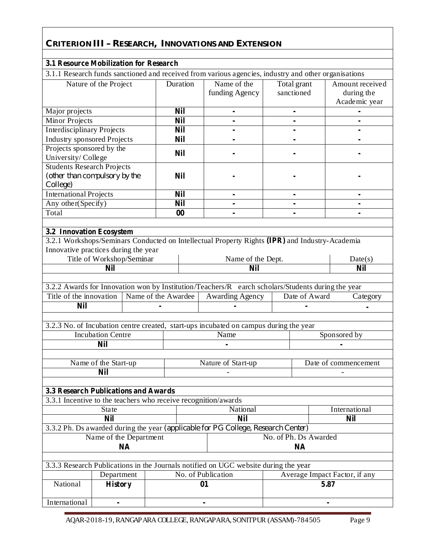# **CRITERION III – RESEARCH, INNOVATIONS AND EXTENSION**

| <b>3.1 Resource Mobilization for Research</b>                                  |                           |  |                     |    |                                                                                                      |                           |               |                                                |  |
|--------------------------------------------------------------------------------|---------------------------|--|---------------------|----|------------------------------------------------------------------------------------------------------|---------------------------|---------------|------------------------------------------------|--|
|                                                                                |                           |  |                     |    | 3.1.1 Research funds sanctioned and received from various agencies, industry and other organisations |                           |               |                                                |  |
|                                                                                | Nature of the Project     |  | Duration            |    | Name of the<br>funding Agency                                                                        | Total grant<br>sanctioned |               | Amount received<br>during the<br>Academic year |  |
| Major projects                                                                 |                           |  | <b>Nil</b>          |    | $\blacksquare$                                                                                       | $\blacksquare$            |               |                                                |  |
| <b>Minor Projects</b>                                                          |                           |  | <b>Nil</b>          |    |                                                                                                      |                           |               |                                                |  |
| <b>Interdisciplinary Projects</b>                                              |                           |  | <b>Nil</b>          |    |                                                                                                      |                           |               |                                                |  |
| <b>Industry sponsored Projects</b>                                             |                           |  | <b>Nil</b>          |    |                                                                                                      |                           |               |                                                |  |
| Projects sponsored by the<br>University/College                                |                           |  | <b>Nil</b>          |    |                                                                                                      |                           |               |                                                |  |
| <b>Students Research Projects</b><br>(other than compulsory by the<br>College) |                           |  | <b>Nil</b>          |    |                                                                                                      |                           |               |                                                |  |
| <b>International Projects</b>                                                  |                           |  | <b>Nil</b>          |    | $\blacksquare$                                                                                       |                           |               | ۰                                              |  |
| Any other(Specify)                                                             |                           |  | <b>Nil</b>          |    |                                                                                                      |                           |               |                                                |  |
| Total                                                                          |                           |  | $\bf{00}$           |    |                                                                                                      |                           |               |                                                |  |
| 3.2 Innovation Ecosystem                                                       |                           |  |                     |    | 3.2.1 Workshops/Seminars Conducted on Intellectual Property Rights (IPR) and Industry-Academia       |                           |               |                                                |  |
| Innovative practices during the year                                           |                           |  |                     |    |                                                                                                      |                           |               |                                                |  |
|                                                                                | Title of Workshop/Seminar |  |                     |    | Name of the Dept.<br><b>Nil</b>                                                                      |                           |               | Date(s)<br><b>Nil</b>                          |  |
|                                                                                | <b>Nil</b>                |  |                     |    |                                                                                                      |                           |               |                                                |  |
|                                                                                |                           |  |                     |    | 3.2.2 Awards for Innovation won by Institution/Teachers/R earch scholars/Students during the year    |                           |               |                                                |  |
| Title of the innovation                                                        |                           |  | Name of the Awardee |    | <b>Awarding Agency</b>                                                                               |                           | Date of Award | Category                                       |  |
| <b>Nil</b>                                                                     |                           |  |                     |    |                                                                                                      |                           |               |                                                |  |
|                                                                                |                           |  |                     |    |                                                                                                      |                           |               |                                                |  |
|                                                                                |                           |  |                     |    | 3.2.3 No. of Incubation centre created, start-ups incubated on campus during the year                |                           |               |                                                |  |
|                                                                                | <b>Incubation Centre</b>  |  |                     |    | Sponsored by<br>Name                                                                                 |                           |               |                                                |  |
|                                                                                | <b>Nil</b>                |  |                     |    |                                                                                                      |                           |               |                                                |  |
|                                                                                |                           |  |                     |    |                                                                                                      |                           |               |                                                |  |
|                                                                                | Name of the Start-up      |  |                     |    | Nature of Start-up<br>Date of commencement                                                           |                           |               |                                                |  |
|                                                                                | <b>Nil</b>                |  |                     |    |                                                                                                      |                           |               |                                                |  |
|                                                                                |                           |  |                     |    |                                                                                                      |                           |               |                                                |  |
| 3.3 Research Publications and Awards                                           |                           |  |                     |    |                                                                                                      |                           |               |                                                |  |
| 3.3.1 Incentive to the teachers who receive recognition/awards                 |                           |  |                     |    |                                                                                                      |                           |               |                                                |  |
|                                                                                | State                     |  |                     |    | National                                                                                             |                           |               | International                                  |  |
|                                                                                | <b>Nil</b>                |  |                     |    | <b>Nil</b>                                                                                           |                           |               | <b>Nil</b>                                     |  |
|                                                                                |                           |  |                     |    | 3.3.2 Ph. Ds awarded during the year (applicable for PG College, Research Center)                    |                           |               |                                                |  |
|                                                                                | Name of the Department    |  |                     |    |                                                                                                      | No. of Ph. Ds Awarded     |               |                                                |  |
|                                                                                | <b>NA</b><br><b>NA</b>    |  |                     |    |                                                                                                      |                           |               |                                                |  |
|                                                                                |                           |  |                     |    |                                                                                                      |                           |               |                                                |  |
|                                                                                |                           |  |                     |    | 3.3.3 Research Publications in the Journals notified on UGC website during the year                  |                           |               |                                                |  |
|                                                                                | Department                |  |                     |    | No. of Publication                                                                                   |                           |               | Average Impact Factor, if any                  |  |
| National                                                                       | <b>History</b>            |  |                     | 01 |                                                                                                      |                           | 5.87          |                                                |  |
| International                                                                  | $\blacksquare$            |  |                     |    |                                                                                                      |                           |               |                                                |  |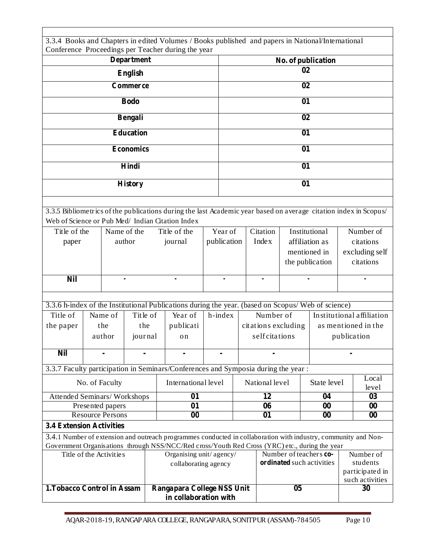|                                                                                                                           |  |                         |                  |                         | 3.3.4 Books and Chapters in edited Volumes / Books published and papers in National/International                |             |                          |                     |                        |                           |                |                       |
|---------------------------------------------------------------------------------------------------------------------------|--|-------------------------|------------------|-------------------------|------------------------------------------------------------------------------------------------------------------|-------------|--------------------------|---------------------|------------------------|---------------------------|----------------|-----------------------|
|                                                                                                                           |  |                         |                  |                         | Conference Proceedings per Teacher during the year                                                               |             |                          |                     |                        |                           |                |                       |
| <b>Department</b>                                                                                                         |  |                         |                  |                         |                                                                                                                  |             | No. of publication<br>02 |                     |                        |                           |                |                       |
| <b>English</b>                                                                                                            |  |                         |                  |                         |                                                                                                                  |             |                          |                     |                        |                           |                |                       |
|                                                                                                                           |  |                         | Commerce         |                         |                                                                                                                  |             |                          |                     | 02                     |                           |                |                       |
|                                                                                                                           |  |                         | <b>Bodo</b>      |                         |                                                                                                                  |             |                          |                     | 01                     |                           |                |                       |
|                                                                                                                           |  |                         | Bengali          |                         |                                                                                                                  |             |                          |                     | 02                     |                           |                |                       |
|                                                                                                                           |  |                         | <b>Education</b> |                         |                                                                                                                  |             |                          |                     | 01                     |                           |                |                       |
|                                                                                                                           |  |                         | <b>Economics</b> |                         |                                                                                                                  |             |                          |                     | 01                     |                           |                |                       |
|                                                                                                                           |  |                         | Hindi            |                         |                                                                                                                  |             |                          |                     | 01                     |                           |                |                       |
|                                                                                                                           |  |                         |                  |                         |                                                                                                                  |             |                          |                     | 01                     |                           |                |                       |
|                                                                                                                           |  |                         | <b>History</b>   |                         |                                                                                                                  |             |                          |                     |                        |                           |                |                       |
|                                                                                                                           |  |                         |                  |                         | 3.3.5 Bibliometrics of the publications during the last Academic year based on average citation index in Scopus/ |             |                          |                     |                        |                           |                |                       |
| Web of Science or Pub Med/ Indian Citation Index                                                                          |  |                         |                  |                         |                                                                                                                  |             |                          |                     |                        |                           |                |                       |
| Title of the                                                                                                              |  | Name of the             |                  |                         | Title of the                                                                                                     | Year of     |                          | Citation            |                        | Institutional             |                | Number of             |
| paper                                                                                                                     |  |                         | author           |                         | journal                                                                                                          | publication |                          | <b>Index</b>        | affiliation as         |                           |                | citations             |
|                                                                                                                           |  |                         |                  |                         |                                                                                                                  |             |                          |                     | mentioned in           |                           | excluding self |                       |
|                                                                                                                           |  |                         |                  |                         |                                                                                                                  |             |                          |                     | the publication        |                           | citations      |                       |
| <b>Nil</b>                                                                                                                |  |                         |                  |                         |                                                                                                                  |             |                          |                     |                        |                           |                |                       |
|                                                                                                                           |  |                         |                  |                         |                                                                                                                  |             |                          |                     |                        |                           |                |                       |
|                                                                                                                           |  |                         |                  |                         | 3.3.6 h-index of the Institutional Publications during the year. (based on Scopus/Web of science)                |             |                          |                     |                        |                           |                |                       |
| Title of                                                                                                                  |  | Name of                 | Title of         |                         | Year of                                                                                                          | h-index     |                          | Number of           |                        | Institutional affiliation |                |                       |
| the paper                                                                                                                 |  | the                     | the              |                         | publicati                                                                                                        |             |                          | citations excluding |                        | as mentioned in the       |                |                       |
|                                                                                                                           |  | author                  | journal          |                         | on                                                                                                               |             | selfcitations            |                     | publication            |                           |                |                       |
| <b>Nil</b>                                                                                                                |  |                         |                  |                         |                                                                                                                  |             |                          |                     |                        |                           |                |                       |
|                                                                                                                           |  |                         |                  |                         | 3.3.7 Faculty participation in Seminars/Conferences and Symposia during the year:                                |             |                          |                     |                        |                           |                |                       |
|                                                                                                                           |  | No. of Faculty          |                  |                         | International level                                                                                              |             | National level           |                     |                        | State level               |                | Local<br>level        |
| Attended Seminars/Workshops                                                                                               |  |                         |                  |                         | 01                                                                                                               |             |                          | 12                  |                        | 04                        |                | 03                    |
|                                                                                                                           |  | Presented papers        |                  |                         | 01                                                                                                               |             |                          | 06                  |                        | 00                        |                | 00                    |
| <b>3.4 Extension Activities</b>                                                                                           |  | <b>Resource Persons</b> |                  |                         | 00                                                                                                               |             |                          | 01                  |                        | 00                        |                | 00                    |
|                                                                                                                           |  |                         |                  |                         |                                                                                                                  |             |                          |                     |                        |                           |                |                       |
|                                                                                                                           |  |                         |                  |                         | 3.4.1 Number of extension and outreach programmes conducted in collaboration with industry, community and Non-   |             |                          |                     |                        |                           |                |                       |
| Government Organisations through NSS/NCC/Red cross/Youth Red Cross (YRC) etc., during the year<br>Title of the Activities |  |                         |                  | Organising unit/agency/ |                                                                                                                  |             |                          |                     | Number of teachers co- |                           | Number of      |                       |
|                                                                                                                           |  |                         |                  |                         | collaborating agency                                                                                             |             |                          |                     |                        | ordinated such activities |                | students              |
|                                                                                                                           |  |                         |                  |                         |                                                                                                                  |             |                          |                     |                        | participated in           |                |                       |
| 1. Tobacco Control in Assam                                                                                               |  |                         |                  |                         | Rangapara College NSS Unit                                                                                       |             |                          |                     | 05                     |                           |                | such activities<br>30 |
|                                                                                                                           |  |                         |                  |                         | in collaboration with                                                                                            |             |                          |                     |                        |                           |                |                       |

Ė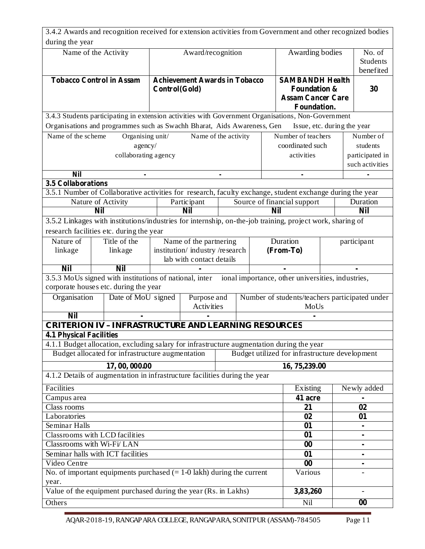|                                | 3.4.2 Awards and recognition received for extension activities from Government and other recognized bodies |                               |                                      |                  |           |            |                                                   |                             |                 |
|--------------------------------|------------------------------------------------------------------------------------------------------------|-------------------------------|--------------------------------------|------------------|-----------|------------|---------------------------------------------------|-----------------------------|-----------------|
| during the year                |                                                                                                            |                               |                                      |                  |           |            |                                                   |                             |                 |
|                                | Name of the Activity                                                                                       |                               | Award/recognition                    |                  |           |            | Awarding bodies                                   |                             | No. of          |
|                                |                                                                                                            |                               |                                      |                  |           |            |                                                   |                             | Students        |
|                                |                                                                                                            |                               |                                      |                  |           |            |                                                   |                             | benefited       |
|                                | <b>Tobacco Control in Assam</b>                                                                            |                               | <b>Achievement Awards in Tobacco</b> |                  |           |            | <b>SAMBANDH Health</b>                            |                             |                 |
|                                |                                                                                                            | Control(Gold)                 |                                      |                  |           |            | <b>Foundation &amp;</b>                           |                             | 30              |
|                                |                                                                                                            |                               |                                      |                  |           |            | <b>Assam Cancer Care</b>                          |                             |                 |
|                                |                                                                                                            |                               |                                      |                  |           |            | Foundation.                                       |                             |                 |
|                                | 3.4.3 Students participating in extension activities with Government Organisations, Non-Government         |                               |                                      |                  |           |            |                                                   |                             |                 |
|                                | Organisations and programmes such as Swachh Bharat, Aids Awareness, Gen                                    |                               |                                      |                  |           |            |                                                   | Issue, etc. during the year |                 |
| Name of the scheme             | Organising unit/                                                                                           |                               | Name of the activity                 |                  |           |            | Number of teachers                                |                             | Number of       |
| agency/                        |                                                                                                            |                               |                                      | coordinated such |           | students   |                                                   |                             |                 |
|                                | collaborating agency                                                                                       |                               |                                      |                  |           |            | activities                                        |                             | participated in |
|                                |                                                                                                            |                               |                                      |                  |           |            | such activities                                   |                             |                 |
| <b>Nil</b>                     |                                                                                                            |                               |                                      |                  |           |            |                                                   |                             |                 |
| <b>3.5 Collaborations</b>      |                                                                                                            |                               |                                      |                  |           |            |                                                   |                             |                 |
|                                | 3.5.1 Number of Collaborative activities for research, faculty exchange, student exchange during the year  |                               |                                      |                  |           |            |                                                   |                             |                 |
|                                | Nature of Activity                                                                                         |                               | Participant                          |                  |           |            | Source of financial support                       |                             | Duration        |
|                                | Nil                                                                                                        |                               | Nil                                  |                  |           | <b>Nil</b> |                                                   |                             | <b>Nil</b>      |
|                                | 3.5.2 Linkages with institutions/industries for internship, on-the-job training, project work, sharing of  |                               |                                      |                  |           |            |                                                   |                             |                 |
|                                | research facilities etc. during the year                                                                   |                               |                                      |                  |           |            |                                                   |                             |                 |
| Nature of                      | Title of the                                                                                               |                               | Name of the partnering               |                  |           |            | Duration                                          |                             | participant     |
| linkage                        | linkage                                                                                                    | institution/industry/research |                                      |                  | (From-To) |            |                                                   |                             |                 |
|                                |                                                                                                            |                               | lab with contact details             |                  |           |            |                                                   |                             |                 |
| <b>Nil</b>                     | <b>Nil</b>                                                                                                 |                               |                                      |                  |           |            |                                                   |                             |                 |
|                                | 3.5.3 MoUs signed with institutions of national, inter                                                     |                               |                                      |                  |           |            | ional importance, other universities, industries, |                             |                 |
|                                | corporate houses etc. during the year                                                                      |                               |                                      |                  |           |            |                                                   |                             |                 |
| Organisation                   | Date of MoU signed                                                                                         |                               | Purpose and                          |                  |           |            | Number of students/teachers participated under    |                             |                 |
|                                |                                                                                                            |                               | Activities                           |                  |           |            | MoUs                                              |                             |                 |
| <b>Nil</b>                     |                                                                                                            |                               |                                      |                  |           |            |                                                   |                             |                 |
|                                | CRITERION IV - INFRASTRUCTURE AND LEARNING RESOURCES                                                       |                               |                                      |                  |           |            |                                                   |                             |                 |
| <b>4.1 Physical Facilities</b> |                                                                                                            |                               |                                      |                  |           |            |                                                   |                             |                 |
|                                | 4.1.1 Budget allocation, excluding salary for infrastructure augmentation during the year                  |                               |                                      |                  |           |            |                                                   |                             |                 |
|                                | Budget allocated for infrastructure augmentation                                                           |                               |                                      |                  |           |            | Budget utilized for infrastructure development    |                             |                 |
|                                | 17,00,000.00                                                                                               |                               |                                      |                  |           |            | 16, 75, 239.00                                    |                             |                 |
|                                | 4.1.2 Details of augmentation in infrastructure facilities during the year                                 |                               |                                      |                  |           |            |                                                   |                             |                 |
| Facilities                     |                                                                                                            |                               |                                      |                  |           |            | Existing                                          |                             | Newly added     |
| Campus area                    |                                                                                                            |                               |                                      |                  |           |            | 41 acre                                           |                             |                 |
| Class rooms                    |                                                                                                            |                               |                                      |                  |           |            | 21                                                |                             | 02              |
| Laboratories                   |                                                                                                            |                               |                                      |                  |           |            | 02                                                |                             | 01              |
| Seminar Halls                  |                                                                                                            |                               |                                      |                  | 01        |            |                                                   |                             |                 |
| Classrooms with LCD facilities |                                                                                                            |                               |                                      | 01               |           | ۰          |                                                   |                             |                 |
|                                | Classrooms with Wi-Fi/LAN                                                                                  |                               |                                      |                  |           |            | 00                                                |                             | ۰               |
|                                | Seminar halls with ICT facilities                                                                          |                               |                                      |                  |           |            | 01                                                |                             |                 |
| Video Centre                   |                                                                                                            |                               |                                      |                  |           |            | 00                                                |                             | ۰               |
|                                | No. of important equipments purchased $(= 1-0 \text{ lakh})$ during the current                            |                               |                                      |                  |           |            | Various                                           |                             |                 |
| year.                          |                                                                                                            |                               |                                      |                  |           |            |                                                   |                             |                 |
|                                | Value of the equipment purchased during the year (Rs. in Lakhs)                                            |                               |                                      |                  |           |            | 3,83,260                                          |                             |                 |
| Others                         |                                                                                                            |                               |                                      |                  |           | Nil        |                                                   | $\bf{00}$                   |                 |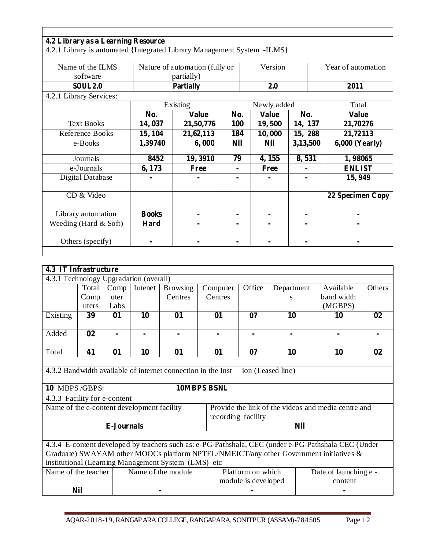|                                                                         | 4.2 Library as a Learning Resource |                                |                |                |                    |                       |  |  |
|-------------------------------------------------------------------------|------------------------------------|--------------------------------|----------------|----------------|--------------------|-----------------------|--|--|
| 4.2.1 Library is automated {Integrated Library Management System -ILMS} |                                    |                                |                |                |                    |                       |  |  |
|                                                                         |                                    |                                |                |                |                    |                       |  |  |
| Name of the ILMS                                                        |                                    | Nature of automation (fully or | Version        |                | Year of automation |                       |  |  |
| software                                                                |                                    | partially)                     |                |                |                    |                       |  |  |
| <b>SOUL 2.0</b>                                                         | Partially                          |                                |                | 2.0            |                    | 2011                  |  |  |
| 4.2.1 Library Services:                                                 |                                    |                                |                |                |                    |                       |  |  |
|                                                                         |                                    | $\overline{Existing}$          |                | Newly added    |                    | Total                 |  |  |
|                                                                         | No.                                | <b>Value</b>                   | No.            | <b>Value</b>   | No.                | <b>Value</b>          |  |  |
| <b>Text Books</b>                                                       | 14,037                             | 21,50,776                      | <b>100</b>     | 19,500         | 14, 137            | 21,70276              |  |  |
| Reference Books                                                         | 15, 104                            | 21,62,113                      | 184            | 10,000         | 15, 288            | 21,72113              |  |  |
| e-Books                                                                 | 1,39740                            | 6,000                          | <b>Nil</b>     | <b>Nil</b>     | 3,13,500           | <b>6,000 (Yearly)</b> |  |  |
|                                                                         |                                    |                                |                |                |                    |                       |  |  |
| Journals                                                                | 8452                               | 19,3910                        | 79             | 4, 155         | 8,531              | 1,98065               |  |  |
| e-Journals                                                              | 6, 173                             | Free                           | $\blacksquare$ | Free           |                    | <b>ENLIST</b>         |  |  |
| Digital Database                                                        |                                    |                                |                |                |                    | 15,949                |  |  |
|                                                                         |                                    |                                |                |                |                    |                       |  |  |
| CD & Video                                                              |                                    |                                |                |                |                    | 22 Specimen Copy      |  |  |
|                                                                         |                                    |                                |                |                |                    |                       |  |  |
| Library automation                                                      | <b>Books</b>                       | ۰                              | $\blacksquare$ | $\blacksquare$ | ۰                  | ۰                     |  |  |
| Weeding (Hard $&$ Soft)                                                 | Hard                               |                                |                | $\blacksquare$ |                    | ۰                     |  |  |
|                                                                         |                                    |                                |                |                |                    |                       |  |  |
| Others (specify)                                                        |                                    |                                |                | $\blacksquare$ |                    |                       |  |  |

| 4.3 IT Infrastructure                      |            |                   |         |                                                              |                    |                     |                   |                                                                                                     |                |
|--------------------------------------------|------------|-------------------|---------|--------------------------------------------------------------|--------------------|---------------------|-------------------|-----------------------------------------------------------------------------------------------------|----------------|
| 4.3.1 Technology Upgradation (overall)     |            |                   |         |                                                              |                    |                     |                   |                                                                                                     |                |
|                                            | Total      | Comp              | Intenet | <b>Browsing</b>                                              | Computer           | Office              | Department        | Available                                                                                           | Others         |
|                                            | Comp       | uter              |         | Centres                                                      | Centres            |                     | S                 | band width                                                                                          |                |
|                                            | uters      | Labs              |         |                                                              |                    |                     |                   | (MGBPS)                                                                                             |                |
| Existing                                   | 39         | 01                | 10      | 01                                                           | 01                 | 07                  | 10                | 10                                                                                                  | 02             |
|                                            |            |                   |         |                                                              |                    |                     |                   |                                                                                                     |                |
| Added                                      | 02         |                   |         | $\blacksquare$                                               | $\blacksquare$     | $\blacksquare$      | $\blacksquare$    | $\blacksquare$                                                                                      | $\blacksquare$ |
|                                            |            |                   |         |                                                              |                    |                     |                   |                                                                                                     |                |
| Total                                      | 41         | 01                | 10      | 01                                                           | 01                 | 07                  | 10                | 10                                                                                                  | 02             |
|                                            |            |                   |         |                                                              |                    |                     |                   |                                                                                                     |                |
|                                            |            |                   |         | 4.3.2 Bandwidth available of internet connection in the Inst |                    |                     | ion (Leased line) |                                                                                                     |                |
|                                            |            |                   |         |                                                              |                    |                     |                   |                                                                                                     |                |
| 10 MBPS/GBPS:                              |            |                   |         |                                                              | 10MBPS BSNL        |                     |                   |                                                                                                     |                |
| 4.3.3 Facility for e-content               |            |                   |         |                                                              |                    |                     |                   |                                                                                                     |                |
| Name of the e-content development facility |            |                   |         |                                                              |                    |                     |                   | Provide the link of the videos and media centre and                                                 |                |
|                                            |            |                   |         |                                                              | recording facility |                     |                   |                                                                                                     |                |
|                                            |            | <b>E-Journals</b> |         |                                                              |                    |                     | <b>Nil</b>        |                                                                                                     |                |
|                                            |            |                   |         |                                                              |                    |                     |                   |                                                                                                     |                |
|                                            |            |                   |         |                                                              |                    |                     |                   | 4.3.4 E-content developed by teachers such as: e-PG-Pathshala, CEC (under e-PG-Pathshala CEC (Under |                |
|                                            |            |                   |         |                                                              |                    |                     |                   | Graduate) SWAYAM other MOOCs platform NPTEL/NMEICT/any other Government initiatives &               |                |
|                                            |            |                   |         | institutional (Learning Management System (LMS) etc          |                    |                     |                   |                                                                                                     |                |
| Name of the teacher                        |            |                   |         | Name of the module                                           |                    | Platform on which   |                   | Date of launching e -                                                                               |                |
|                                            |            |                   |         |                                                              |                    | module is developed |                   | content                                                                                             |                |
|                                            | <b>Nil</b> |                   |         |                                                              |                    |                     |                   |                                                                                                     |                |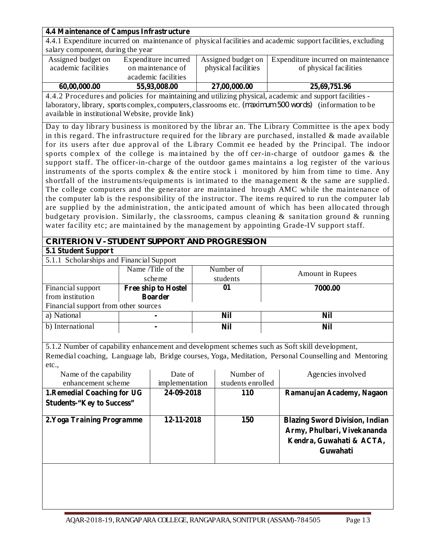## **4.4 Maintenance of Campus Infrastructure**

4.4.1 Expenditure incurred on maintenance of physical facilities and academic support facilities, excluding salary component, during the year

| Assigned budget on<br>academic facilities | Expenditure incurred<br>on maintenance of | Assigned budget on<br>physical facilities | Expenditure incurred on maintenance<br>of physical facilities |
|-------------------------------------------|-------------------------------------------|-------------------------------------------|---------------------------------------------------------------|
|                                           | academic facilities                       |                                           |                                                               |
| 60,00,000.00                              | 55,93,008.00                              | 27,00,000.00                              | 25,69,751.96                                                  |

4.4.2 Procedure s and policies for maintaining and utilizing physical, academic and support facilities laboratory, library, sports complex, computers, classrooms etc. *(maximum 500 words)* (information to be available in institutional Website, provide link)

Day to day library business is monitored by the librar an. The Library Committee is the apex body in this regard. The infrastructure required for the library are purchased, installed  $\&$  made available for its users after due approval of the Library Commit ee headed by the Principal. The indoor sports complex of the college is ma intained by the off cer-in-charge of outdoor games & the support staff. The officer-in-charge of the outdoor games maintains a log register of the various instruments of the sports complex & the entire stock i monitored by him from time to time. Any shortfall of the instruments/equipments is intimated to the management  $\&$  the same are supplied. The college computers and the generator are maintained hrough AMC while the maintenance of the computer lab is the responsibility of the instruc tor. The items required to run the computer lab are supplied by the administration, the anticipated amount of which has been allocated through budgetary provision. Similarly, the classrooms, campus cleaning  $\&$  sanitation ground  $\&$  running water facility etc; are maintained by the management by appointing Grade-IV support staff.

# **CRITERION V - STUDENT SUPPORT AND PROGRESSION**

#### **5.1 Student Support**

5.1.1 Scholarships and Financial Support

| $\frac{1}{2}$                        |                     |           |                  |
|--------------------------------------|---------------------|-----------|------------------|
|                                      | Name /Title of the  | Number of | Amount in Rupees |
|                                      | scheme              | students  |                  |
| Financial support                    | Free ship to Hostel | 01        | 7000.00          |
| from institution                     | <b>Boarder</b>      |           |                  |
| Financial support from other sources |                     |           |                  |
| a) National                          | ۰                   | Nil       | Nil              |
| b) International                     | ۰.                  | Nil       | Nil              |
|                                      |                     |           |                  |

5.1.2 Number of capability enhancement and development schemes such as Soft skill development, Remedial coaching, Language lab, Bridge courses, Yoga, Meditation, Personal Counselling and Mentoring etc.,

| Name of the capability<br>enhancement scheme                    | Date of<br>implementation | Number of<br>students enrolled | Agencies involved                                                                                            |
|-----------------------------------------------------------------|---------------------------|--------------------------------|--------------------------------------------------------------------------------------------------------------|
| 1. Remedial Coaching for UG<br><b>Students-"Key to Success"</b> | 24-09-2018                | <b>110</b>                     | Ramanujan Academy, Nagaon                                                                                    |
| 2. Yoga Training Programme                                      | 12-11-2018                | <b>150</b>                     | <b>Blazing Sword Division, Indian</b><br>Army, Phulbari, Vivekananda<br>Kendra, Guwahati & ACTA,<br>Guwahati |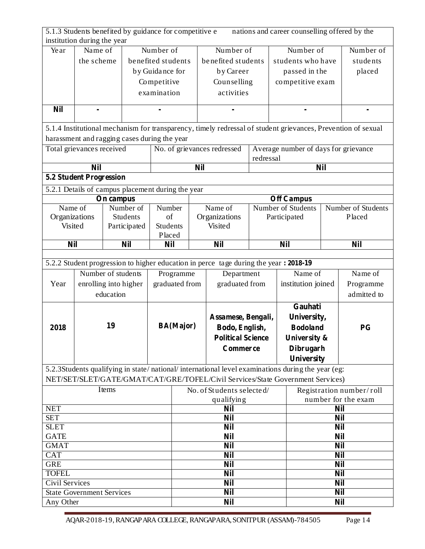| 5.1.3 Students benefited by guidance for competitive e<br>institution during the year |                       |           |                    |             |                          |            |                                                                                                              |            |                          |                                      |            | nations and career counselling offered by the |
|---------------------------------------------------------------------------------------|-----------------------|-----------|--------------------|-------------|--------------------------|------------|--------------------------------------------------------------------------------------------------------------|------------|--------------------------|--------------------------------------|------------|-----------------------------------------------|
| Year                                                                                  | Name of               |           |                    | Number of   |                          |            | Number of                                                                                                    |            |                          | Number of                            |            | Number of                                     |
|                                                                                       | the scheme            |           | benefited students |             |                          |            | benefited students                                                                                           |            | students who have        |                                      | students   |                                               |
|                                                                                       |                       |           | by Guidance for    |             |                          |            | by Career                                                                                                    |            | passed in the            |                                      | placed     |                                               |
|                                                                                       |                       |           |                    | Competitive |                          |            | Counselling                                                                                                  |            |                          | competitive exam                     |            |                                               |
|                                                                                       |                       |           |                    | examination |                          |            | activities                                                                                                   |            |                          |                                      |            |                                               |
|                                                                                       |                       |           |                    |             |                          |            |                                                                                                              |            |                          |                                      |            |                                               |
| <b>Nil</b>                                                                            |                       |           |                    |             |                          |            |                                                                                                              |            |                          |                                      |            |                                               |
|                                                                                       |                       |           |                    |             |                          |            | 5.1.4 Institutional mechanism for transparency, timely redressal of student grievances, Prevention of sexual |            |                          |                                      |            |                                               |
| harassment and ragging cases during the year                                          |                       |           |                    |             |                          |            |                                                                                                              |            |                          |                                      |            |                                               |
| Total grievances received                                                             |                       |           |                    |             |                          |            | No. of grievances redressed                                                                                  | redressal  |                          | Average number of days for grievance |            |                                               |
|                                                                                       | <b>Nil</b>            |           |                    |             |                          | <b>Nil</b> |                                                                                                              |            |                          |                                      | <b>Nil</b> |                                               |
| <b>5.2 Student Progression</b>                                                        |                       |           |                    |             |                          |            |                                                                                                              |            |                          |                                      |            |                                               |
| 5.2.1 Details of campus placement during the year                                     |                       |           |                    |             |                          |            |                                                                                                              |            |                          |                                      |            |                                               |
|                                                                                       |                       | On campus |                    |             |                          |            |                                                                                                              |            |                          | <b>Off Campus</b>                    |            |                                               |
| Name of                                                                               |                       |           | Number of          | Number      |                          |            | Name of                                                                                                      |            |                          | <b>Number of Students</b>            |            | Number of Students                            |
| Organizations                                                                         |                       |           | Students           | of          |                          |            | Organizations                                                                                                |            |                          | Participated                         |            | Placed                                        |
| Visited                                                                               |                       |           | Participated       | Students    |                          | Visited    |                                                                                                              |            |                          |                                      |            |                                               |
|                                                                                       |                       |           |                    | Placed      |                          |            |                                                                                                              |            |                          |                                      |            |                                               |
| <b>Nil</b>                                                                            |                       |           | <b>Nil</b>         | <b>Nil</b>  |                          |            | <b>Nil</b>                                                                                                   | <b>Nil</b> |                          |                                      |            | <b>Nil</b>                                    |
|                                                                                       |                       |           |                    |             |                          |            |                                                                                                              |            |                          |                                      |            |                                               |
|                                                                                       |                       |           |                    |             |                          |            | 5.2.2 Student progression to higher education in perce tage during the year: 2018-19                         |            |                          |                                      |            |                                               |
|                                                                                       | Number of students    |           |                    |             | Programme                |            | Department                                                                                                   |            |                          | $\overline{\text{Name}}$ of          |            | Name of                                       |
| Year                                                                                  | enrolling into higher |           |                    |             | graduated from           |            | graduated from                                                                                               |            |                          | institution joined                   |            | Programme                                     |
|                                                                                       |                       | education |                    |             |                          |            |                                                                                                              |            |                          |                                      |            | admitted to                                   |
|                                                                                       |                       |           |                    |             |                          |            |                                                                                                              |            | Gauhati                  |                                      |            |                                               |
|                                                                                       |                       |           |                    |             |                          |            | Assamese, Bengali,                                                                                           |            |                          | University,                          |            |                                               |
| 2018                                                                                  |                       | 19        |                    |             | <b>BA(Major)</b>         |            | Bodo, English,                                                                                               |            |                          | <b>Bodoland</b>                      |            | <b>PG</b>                                     |
|                                                                                       |                       |           |                    |             |                          |            | <b>Political Science</b>                                                                                     |            | University &             |                                      |            |                                               |
|                                                                                       |                       |           |                    |             |                          |            | <b>Commerce</b>                                                                                              |            | <b>Dibrugarh</b>         |                                      |            |                                               |
|                                                                                       |                       |           |                    |             |                          |            |                                                                                                              |            |                          | University                           |            |                                               |
|                                                                                       |                       |           |                    |             |                          |            | 5.2.3Students qualifying in state/national/international level examinations during the year (eg:             |            |                          |                                      |            |                                               |
|                                                                                       |                       |           |                    |             |                          |            | NET/SET/SLET/GATE/GMAT/CAT/GRE/TOFEL/Civil Services/State Government Services)                               |            |                          |                                      |            |                                               |
|                                                                                       |                       | Items     |                    |             |                          |            | No. of Students selected/                                                                                    |            |                          |                                      |            | Registration number/roll                      |
|                                                                                       |                       |           |                    |             |                          |            | qualifying                                                                                                   |            |                          |                                      |            | number for the exam                           |
| <b>NET</b>                                                                            |                       |           |                    |             |                          |            | <b>Nil</b>                                                                                                   |            |                          |                                      | <b>Nil</b> |                                               |
| <b>SET</b>                                                                            |                       |           |                    |             |                          |            | <b>Nil</b>                                                                                                   |            |                          |                                      | <b>Nil</b> |                                               |
| <b>SLET</b>                                                                           |                       |           |                    |             | <b>Nil</b>               |            |                                                                                                              |            | <b>Nil</b><br><b>Nil</b> |                                      |            |                                               |
| <b>GATE</b><br><b>GMAT</b>                                                            |                       |           |                    |             | <b>Nil</b><br><b>Nil</b> |            |                                                                                                              |            | <b>Nil</b>               |                                      |            |                                               |
| <b>CAT</b>                                                                            |                       |           |                    |             |                          |            | <b>Nil</b>                                                                                                   |            |                          |                                      | <b>Nil</b> |                                               |
| <b>GRE</b>                                                                            |                       |           |                    |             |                          |            | <b>Nil</b>                                                                                                   |            |                          |                                      | <b>Nil</b> |                                               |
| <b>TOFEL</b>                                                                          |                       |           |                    |             |                          |            | <b>Nil</b>                                                                                                   |            |                          |                                      | <b>Nil</b> |                                               |
| <b>Civil Services</b>                                                                 |                       |           |                    |             |                          |            | <b>Nil</b>                                                                                                   |            |                          |                                      | <b>Nil</b> |                                               |
| <b>State Government Services</b>                                                      |                       |           |                    |             |                          |            | <b>Nil</b>                                                                                                   |            |                          |                                      | <b>Nil</b> |                                               |
| Any Other                                                                             |                       |           |                    |             | <b>Nil</b>               |            |                                                                                                              |            | <b>Nil</b>               |                                      |            |                                               |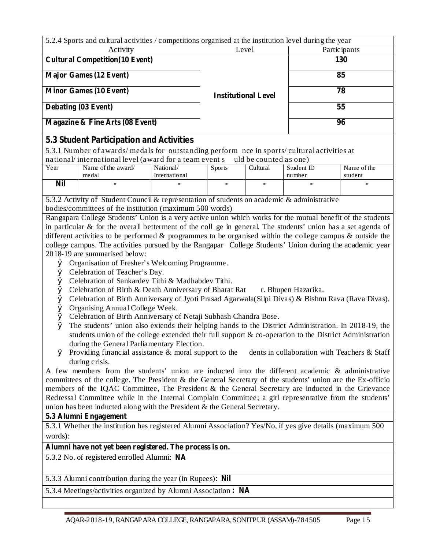| 5.2.4 Sports and cultural activities / competitions organised at the institution level during the year |                            |              |  |  |  |  |
|--------------------------------------------------------------------------------------------------------|----------------------------|--------------|--|--|--|--|
| Activity                                                                                               | Level                      | Participants |  |  |  |  |
| <b>Cultural Competition</b> (10 Event)                                                                 |                            | 130          |  |  |  |  |
| <b>Major Games (12 Event)</b>                                                                          |                            | 85           |  |  |  |  |
| <b>Minor Games (10 Event)</b>                                                                          | <b>Institutional Level</b> | 78           |  |  |  |  |
| Debating (03 Event)                                                                                    |                            | 55           |  |  |  |  |
| Magazine & Fine Arts (08 Event)                                                                        |                            | 96           |  |  |  |  |

# **5.3 Student Participation and Activities**

5.3.1 Number of awards/ medals for outstanding perform nce in sports/ cultural activities at national/international level (award for a team event s uld be counted as one)

|      | national mtvi national iv rol (a marti io rothi e romano<br>$\frac{1}{2}$ and $\frac{1}{2}$ counted as one i |               |               |          |            |             |  |
|------|--------------------------------------------------------------------------------------------------------------|---------------|---------------|----------|------------|-------------|--|
| Year | Name of the award/                                                                                           | National/     | <b>Sports</b> | Cultural | Student ID | Name of the |  |
|      | medal                                                                                                        | International |               |          | number     | student     |  |
| Nil  |                                                                                                              |               |               |          |            |             |  |
|      |                                                                                                              |               |               |          |            |             |  |

5.3.2 Activity of Student Council & representation of students on academic & administrative bodies/committees of the institution (maximum 500 words)

Rangapara College Students' Union is a very active union which works for the mutual benefit of the students in particular & for the overall betterment of the coll ge in general. The students' union has a set agenda of different activities to be performed & programmes to be organised within the college campus & outside the college campus. The activities pursued by the Rangapar College Students' Union during the academic year 2018-19 are summarised below:

- Organisation of Fresher's Welcoming Programme. Ø
- Celebration of Teacher's Day. Ø
- Celebration of Sankardev Tithi & Madhabdev Tithi. Ø
- Ø Celebration of Birth & Death Anniversary of Bharat Rat r. Bhupen Hazarika.
- Celebration of Birth Anniversary of Jyoti Prasad Agarwala(Silpi Divas) & Bishnu Rava (Rava Divas). Ø
- Organising Annual College Week. Ø
- Celebration of Birth Anniversary of Netaji Subhash Chandra Bose. Ø
- The students' union also extends their helping hands to the District Administration. In 2018-19, the Ø students union of the college extended their full support & co-operation to the District Administration during the General Parliamentary Election.
- $\varnothing$  Providing financial assistance & moral support to the dents in collaboration with Teachers & Staff during crisis.

A few members from the students' union are inducted into the different academic & administrative committees of the college. The President & the General Secretary of the students' union are the Ex-officio members of the IQAC Committee, The President & the General Secretary are inducted in the Grievance Redressal Committee while in the Internal Complain Committee; a girl representative from the students' union has been inducted along with the President & the General Secretary.

#### **5.3 Alumni Engagement**

5.3.1 Whether the institution has registered Alumni Association? Yes/No, if yes give details (maximum 500 words):

#### **Alumni have not yet been registered. The process is on.**

5.3.2 No. of registered enrolled Alumni: **NA**

#### 5.3.3 Alumni contribution during the year (in Rupees): **Nil**

5.3.4 Meetings/activities organized by Alumni Association **: NA**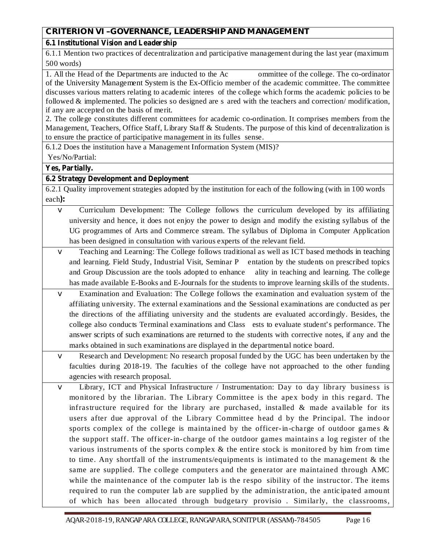# **6.1 Institutional Vision and Leadership**

6.1.1 Mention two practices of decentralization and participative management during the last year (maximum 500 words)

1. All the Head of the Departments are inducted to the Ac ommittee of the college. The co-ordinator of the University Management System is the Ex-Officio member of the academic committee. The committee discusses various matters relating to academic interes of the college which forms the academic policies to be followed & implemented. The policies so designed are s ared with the teachers and correction/ modification, if any are accepted on the basis of merit.

2. The college constitutes different committees for academic co-ordination. It comprises members from the Management, Teachers, Office Staff, Library Staff & Students. The purpose of this kind of decentralization is to ensure the practice of participative management in its fulles sense.

6.1.2 Does the institution have a Management Information System (MIS)?

Yes/No/Partial:

**Yes, Partially.**

# **6.2 Strategy Development and Deployment**

each): 6.2.1 Quality improvement strategies adopted by the institution for each of the following (with in 100 words

- Curriculum Development: The College follows the curriculum developed by its affiliating university and hence, it does not enjoy the power to design and modify the existing syllabus of the UG programmes of Arts and Commerce stream. The syllabus of Diploma in Computer Application has been designed in consultation with various experts of the relevant field. v
- Teaching and Learning: The College follows traditional as well as ICT based methods in teaching and learning. Field Study, Industrial Visit, Seminar P entation by the students on prescribed topics and Group Discussion are the tools adopted to enhance ality in teaching and learning. The college has made available E-Books and E-Journals for the students to improve learning skills of the students. v
- Examination and Evaluation: The College follows the examination and evaluation system of the affiliating university. The external examinations and the Sessional examinations are conducted as per the directions of the affiliating university and the students are evaluated accordingly. Besides, the college also conducts Terminal examinations and Class ests to evaluate student's performance. The answer scripts of such examinations are returned to the students with corrective notes, if any and the marks obtained in such examinations are displayed in the departmental notice board. v
- Research and Development: No research proposal funded by the UGC has been undertaken by the faculties during 2018-19. The faculties of the college have not approached to the other funding agencies with research proposal.  $\sqrt{}$
- Library, ICT and Physical Infrastructure / Instrumentation: Day to day library business is monitored by the librarian. The Library Committee is the apex body in this regard. The infrastructure required for the library are purchased, installed  $\&$  made available for its users after due approval of the Library Committee head d by the Principal. The indoor sports complex of the college is maintained by the officer-in-charge of outdoor games  $\&$ the support staff. The officer-in-charge of the outdoor games maintains a log register of the various instruments of the sports complex & the entire stock is monitored by him from time to time. Any shortfall of the instruments/equipments is intimated to the management & the same are supplied. The college computers and the generator are maintained through AMC while the maintenance of the computer lab is the respo sibility of the instructor. The items required to run the computer lab are supplied by the administration, the anticipated amount of which has been allocated through budgetary provisio. Similarly, the classrooms,  $\sqrt{ }$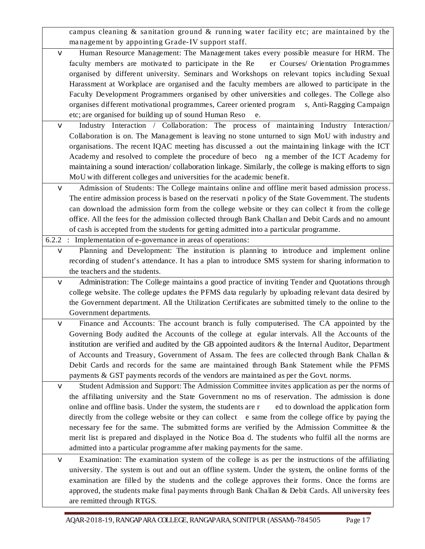campus cleaning & sanitation ground & running water fac ility etc; are maintained by the management by appointing Grade-IV support staff.

- Human Resource Management: The Management takes every possible measure for HRM. The faculty members are motivated to participate in the Re er Courses/ Orientation Programmes organised by different university. Seminars and Workshops on relevant topics including Sexual Harassment at Workplace are organised and the faculty members are allowed to participate in the Faculty Development Programmers organised by other universities and colleges. The College also organises different motivational programmes, Career oriented program s, Anti-Ragging Campaign etc; are organised for building up of sound Human Reso e. v
- Industry Interaction / Collaboration: The process of maintaining Industry Interaction/ Collaboration is on. The Management is leaving no stone unturned to sign MoU with industry and organisations. The recent IQAC meeting has discussed a out the maintaining linkage with the ICT Academy and resolved to complete the procedure of beco ng a member of the ICT Academy for maintaining a sound interaction/ collaboration linkage. Similarly, the college is making efforts to sign MoU with different colleges and universities for the academic benefit.  $\sqrt{}$
- Admission of Students: The College maintains online and offline merit based admission process. The entire admission process is based on the reservati n policy of the State Government. The students can download the admission form from the college website or they can collect it from the college office. All the fees for the admission collected through Bank Challan and Debit Cards and no amount of cash is accepted from the students for getting admitted into a particular programme.  $\vee$

6.2.2 : Implementation of e-governance in areas of operations:

- Planning and Development: The institution is planning to introduce and implement online recording of student's attendance. It has a plan to introduce SMS system for sharing information to the teachers and the students. v
- Administration: The College maintains a good practice of inviting Tender and Quotations through college website. The college updates the PFMS data regularly by uploading relevant data desired by the Government department. All the Utilization Certificates are submitted timely to the online to the Government departments. v
- Finance and Accounts: The account branch is fully computerised. The CA appointed by the Governing Body audited the Accounts of the college at egular intervals. All the Accounts of the institution are verified and audited by the GB appointed auditors & the Internal Auditor, Department of Accounts and Treasury, Government of Assam. The fees are collected through Bank Challan & Debit Cards and records for the same are maintained through Bank Statement while the PFMS payments & GST payments records of the vendors are maintained as per the Govt. norms. v
- Student Admission and Support: The Admission Committee invites application as per the norms of the affiliating university and the State Government no ms of reservation. The admission is done online and offline basis. Under the system, the students are r ed to download the application form directly from the college website or they can collect e same from the college office by paying the necessary fee for the same. The submitted forms are verified by the Admission Committee & the merit list is prepared and displayed in the Notice Boa d. The students who fulfil all the norms are admitted into a particular programme after making payments for the same. v
- Examination: The examination system of the college is as per the instructions of the affiliating university. The system is out and out an offline system. Under the system, the online forms of the examination are filled by the students and the college approves their forms. Once the forms are approved, the students make final payments through Bank Challan & Debit Cards. All university fees are remitted through RTGS.  $\sqrt{}$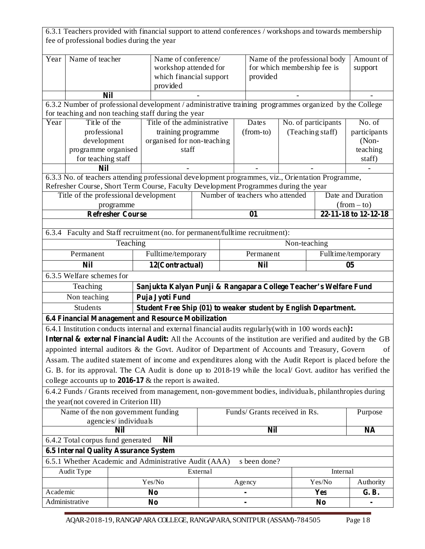|                          | fee of professional bodies during the year   |                      | 6.3.1 Teachers provided with financial support to attend conferences / workshops and towards membership                                                       |                      |                                                                          |                                 |  |                      |                                    |
|--------------------------|----------------------------------------------|----------------------|---------------------------------------------------------------------------------------------------------------------------------------------------------------|----------------------|--------------------------------------------------------------------------|---------------------------------|--|----------------------|------------------------------------|
| Year                     | Name of teacher                              |                      | Name of conference/<br>workshop attended for<br>which financial support<br>provided                                                                           |                      | Name of the professional body<br>for which membership fee is<br>provided |                                 |  | Amount of<br>support |                                    |
|                          |                                              | <b>Nil</b>           |                                                                                                                                                               |                      |                                                                          |                                 |  |                      |                                    |
|                          |                                              |                      |                                                                                                                                                               |                      |                                                                          |                                 |  |                      |                                    |
|                          |                                              |                      | 6.3.2 Number of professional development / administrative training programmes organized by the College<br>for teaching and non teaching staff during the year |                      |                                                                          |                                 |  |                      |                                    |
| Year                     | Title of the                                 |                      | Title of the administrative                                                                                                                                   |                      |                                                                          | Dates                           |  | No. of participants  | No. of                             |
|                          | professional                                 |                      | training programme                                                                                                                                            |                      |                                                                          | (from-to)                       |  | (Teaching staff)     | participants                       |
|                          | development                                  |                      | organised for non-teaching                                                                                                                                    |                      |                                                                          |                                 |  |                      | $(Non-$                            |
|                          | programme organised                          |                      | staff                                                                                                                                                         |                      |                                                                          |                                 |  |                      | teaching                           |
|                          | for teaching staff                           |                      |                                                                                                                                                               |                      |                                                                          |                                 |  |                      | staff)                             |
|                          | <b>Nil</b>                                   |                      |                                                                                                                                                               |                      |                                                                          |                                 |  |                      |                                    |
|                          |                                              |                      | 6.3.3 No. of teachers attending professional development programmes, viz., Orientation Programme,                                                             |                      |                                                                          |                                 |  |                      |                                    |
|                          |                                              |                      | Refresher Course, Short Term Course, Faculty Development Programmes during the year                                                                           |                      |                                                                          |                                 |  |                      |                                    |
|                          | Title of the professional development        | programme            |                                                                                                                                                               |                      |                                                                          | Number of teachers who attended |  |                      | Date and Duration<br>$(from - to)$ |
|                          | <b>Refresher Course</b><br>01                |                      |                                                                                                                                                               | 22-11-18 to 12-12-18 |                                                                          |                                 |  |                      |                                    |
|                          |                                              |                      |                                                                                                                                                               |                      |                                                                          |                                 |  |                      |                                    |
|                          |                                              |                      | 6.3.4 Faculty and Staff recruitment (no. for permanent/fulltime recruitment):                                                                                 |                      |                                                                          |                                 |  |                      |                                    |
| Teaching<br>Non-teaching |                                              |                      |                                                                                                                                                               |                      |                                                                          |                                 |  |                      |                                    |
|                          | Permanent                                    |                      | Fulltime/temporary<br>Permanent                                                                                                                               |                      |                                                                          | Fulltime/temporary              |  |                      |                                    |
|                          | <b>Nil</b>                                   |                      | 12(Contractual)<br><b>Nil</b>                                                                                                                                 |                      |                                                                          | 05                              |  |                      |                                    |
|                          | 6.3.5 Welfare schemes for                    |                      |                                                                                                                                                               |                      |                                                                          |                                 |  |                      |                                    |
|                          | Teaching                                     |                      | Sanjukta Kalyan Punji & Rangapara College Teacher's Welfare Fund                                                                                              |                      |                                                                          |                                 |  |                      |                                    |
|                          | Non teaching                                 |                      | Puja Jyoti Fund                                                                                                                                               |                      |                                                                          |                                 |  |                      |                                    |
|                          | Students                                     |                      | Student Free Ship (01) to weaker student by English Department.                                                                                               |                      |                                                                          |                                 |  |                      |                                    |
|                          |                                              |                      | 6.4 Financial Management and Resource Mobilization                                                                                                            |                      |                                                                          |                                 |  |                      |                                    |
|                          |                                              |                      | 6.4.1 Institution conducts internal and external financial audits regularly (with in 100 words each):                                                         |                      |                                                                          |                                 |  |                      |                                    |
|                          |                                              |                      | <b>Internal &amp; external Financial Audit:</b> All the Accounts of the institution are verified and audited by the GB                                        |                      |                                                                          |                                 |  |                      |                                    |
|                          |                                              |                      | appointed internal auditors & the Govt. Auditor of Department of Accounts and Treasury, Govern                                                                |                      |                                                                          |                                 |  |                      | of                                 |
|                          |                                              |                      | Assam. The audited statement of income and expenditures along with the Audit Report is placed before the                                                      |                      |                                                                          |                                 |  |                      |                                    |
|                          |                                              |                      | G. B. for its approval. The CA Audit is done up to 2018-19 while the local/ Govt. auditor has verified the                                                    |                      |                                                                          |                                 |  |                      |                                    |
|                          |                                              |                      | college accounts up to $2016-17$ & the report is awaited.                                                                                                     |                      |                                                                          |                                 |  |                      |                                    |
|                          |                                              |                      | 6.4.2 Funds / Grants received from management, non-government bodies, individuals, philanthropies during                                                      |                      |                                                                          |                                 |  |                      |                                    |
|                          | the year(not covered in Criterion III)       |                      |                                                                                                                                                               |                      |                                                                          |                                 |  |                      |                                    |
|                          | Name of the non government funding           |                      |                                                                                                                                                               |                      |                                                                          | Funds/ Grants received in Rs.   |  |                      | Purpose                            |
|                          |                                              | agencies/individuals |                                                                                                                                                               |                      |                                                                          |                                 |  |                      |                                    |
|                          |                                              | <b>Nil</b>           |                                                                                                                                                               |                      |                                                                          | <b>Nil</b>                      |  |                      | <b>NA</b>                          |
|                          | 6.4.2 Total corpus fund generated            |                      | <b>Nil</b>                                                                                                                                                    |                      |                                                                          |                                 |  |                      |                                    |
|                          | <b>6.5 Internal Quality Assurance System</b> |                      |                                                                                                                                                               |                      |                                                                          |                                 |  |                      |                                    |
|                          |                                              |                      | 6.5.1 Whether Academic and Administrative Audit (AAA)                                                                                                         |                      |                                                                          | s been done?                    |  |                      |                                    |
|                          | Audit Type                                   |                      |                                                                                                                                                               | External             |                                                                          |                                 |  | Internal             |                                    |
|                          |                                              |                      | Yes/No                                                                                                                                                        |                      |                                                                          | Agency                          |  | Yes/No               | Authority                          |
| Academic                 |                                              |                      | N <sub>0</sub>                                                                                                                                                |                      |                                                                          |                                 |  | <b>Yes</b>           | G. B.                              |
|                          | Administrative                               |                      | N <sub>0</sub>                                                                                                                                                |                      |                                                                          |                                 |  | N <sub>0</sub>       |                                    |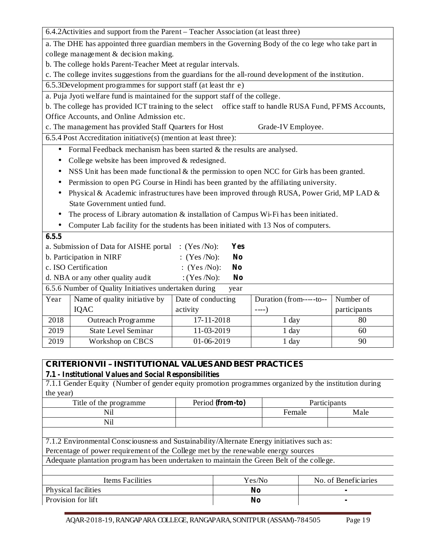6.4.2Activities and support from the Parent – Teacher Association (at least three)

a. The DHE has appointed three guardian members in the Governing Body of the co lege who take part in college management & decision making.

b. The college holds Parent-Teacher Meet at regular intervals.

c. The college invites suggestions from the guardians for the all-round development of the institution.

6.5.3Development programmes for support staff (at least thr e)

a. Puja Jyoti welfare fund is maintained for the support staff of the college.

b. The college has provided ICT training to the select office staff to handle RUSA Fund, PFMS Accounts, Office Accounts, and Online Admission etc.

c. The management has provided Staff Quarters for Host Grade-IV Employee.

6.5.4 Post Accreditation initiative(s) (mention at least three):

- Formal Feedback mechanism has been started  $&$  the results are analysed.
- College website has been improved & redesigned.
- NSS Unit has been made functional  $\&$  the permission to open NCC for Girls has been granted.
- Permission to open PG Course in Hindi has been granted by the affiliating university.
- Physical & Academic infrastructures have been improved through RUSA, Power Grid, MP LAD & State Government untied fund.
- The process of Library automation & installation of Campus Wi-Fi has been initiated.
- Computer Lab facility for the students has been initiated with 13 Nos of computers.

| 6.5.5                                                                   |                                                               |                                  |                         |              |  |  |  |  |
|-------------------------------------------------------------------------|---------------------------------------------------------------|----------------------------------|-------------------------|--------------|--|--|--|--|
| : $(Yes/No)$ :<br>a. Submission of Data for AISHE portal<br>Yes         |                                                               |                                  |                         |              |  |  |  |  |
|                                                                         | b. Participation in NIRF                                      | : $(Yes/No)$ :<br>N <sub>0</sub> |                         |              |  |  |  |  |
|                                                                         | c. ISO Certification                                          | : $(Yes/No)$ :<br>N <sub>0</sub> |                         |              |  |  |  |  |
| d. NBA or any other quality audit<br>: $(Yes / No)$ :<br>N <sub>0</sub> |                                                               |                                  |                         |              |  |  |  |  |
|                                                                         | 6.5.6 Number of Quality Initiatives undertaken during<br>year |                                  |                         |              |  |  |  |  |
| Year                                                                    | Name of quality initiative by                                 | Date of conducting               | Duration (from-----to-- | Number of    |  |  |  |  |
|                                                                         | IQAC                                                          | activity                         | $---)$                  | participants |  |  |  |  |
| 2018                                                                    | <b>Outreach Programme</b>                                     | 17-11-2018                       | $1$ day                 | 80           |  |  |  |  |
| 2019                                                                    | <b>State Level Seminar</b>                                    | 11-03-2019                       | $1$ day                 | 60           |  |  |  |  |
| 2019                                                                    | Workshop on CBCS                                              | $01-06-2019$                     | $1$ day                 | 90           |  |  |  |  |

# **CRITERIONVII – INSTITUTIONAL VALUES AND BEST PRACTICES**

### **7.1 - Institutional Values and Social Responsibilities**

7.1.1 Gender Equity (Number of gender equity promotion programmes organized by the institution during the year)

| Title of the programme | Period (from-to) | Participants |      |
|------------------------|------------------|--------------|------|
| Nil                    |                  | Female       | Male |
| Nil                    |                  |              |      |
|                        |                  |              |      |

7.1.2 Environmental Consciousness and Sustainability/Alternate Energy initiatives such as:

Percentage of power requirement of the College met by the renewable energy sources

Adequate plantation program has been undertaken to maintain the Green Belt of the college.

| Items Facilities    | Yes/No | No. of Beneficiaries |
|---------------------|--------|----------------------|
| Physical facilities | No     |                      |
| Provision for lift  | No     |                      |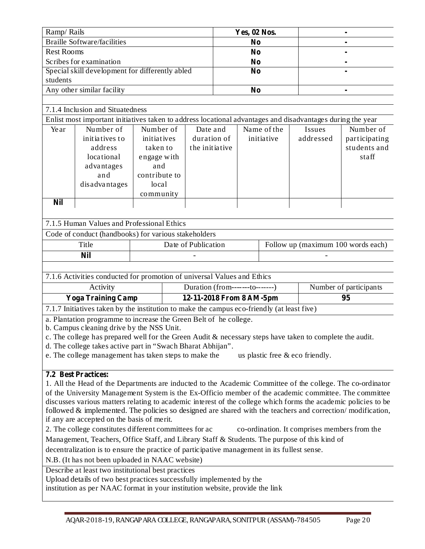| Ramp/Rails                                      | Yes, 02 Nos. |                |
|-------------------------------------------------|--------------|----------------|
| <b>Braille Software/facilities</b>              | No           |                |
| <b>Rest Rooms</b>                               | No           |                |
| Scribes for examination                         | No           |                |
| Special skill development for differently abled | No           |                |
| students                                        |              |                |
| Any other similar facility                      | No           | $\blacksquare$ |

### 7.1.4 Inclusion and Situatedness

Enlist most important initiatives taken to address locational advantages and disadvantages during the year

| Year | Number of      | Number of     | Date and       | Name of the | Issues    | Number of     |
|------|----------------|---------------|----------------|-------------|-----------|---------------|
|      | initiatives to | initiatives   | duration of    | initiative  | addressed | participating |
|      | address        | taken to      | the initiative |             |           | students and  |
|      | locational     | engage with   |                |             |           | staff         |
|      | advantages     | and           |                |             |           |               |
|      | and            | contribute to |                |             |           |               |
|      | disadvantages  | local         |                |             |           |               |
|      |                | community     |                |             |           |               |
| Nil  |                |               |                |             |           |               |

#### 7.1.5 Human Values and Professional Ethics

Code of conduct (handbooks) for various stakeholders

| Title      | Date of Publication      | Follow up (maximum 100 words each) |
|------------|--------------------------|------------------------------------|
| <b>Nil</b> | $\overline{\phantom{a}}$ | -                                  |

7.1.6 Activities conducted for promotion of universal Values and Ethics

| Activity                  | Duration (from---------to--------) | Number of participants |
|---------------------------|------------------------------------|------------------------|
| <b>Yoga Training Camp</b> | 12-11-2018 From 8 AM-5pm           |                        |
| -------<br>.              |                                    |                        |

7.1.7 Initiatives taken by the institution to make the campus eco-friendly (at least five)

a. Plantation programme to increase the Green Belt of he college.

b. Campus cleaning drive by the NSS Unit.

c. The college has prepared well for the Green Audit & necessary steps have taken to complete the audit.

d. The college takes active part in "Swach Bharat Abhijan".

e. The college management has taken steps to make the us plastic free  $\&$  eco friendly.

### **7.2 Best Practices:**

1. All the Head of the Departments are inducted to the Academic Committee of the college. The co-ordinator of the University Management System is the Ex-Officio member of the academic committee. The committee discusses various matters relating to academic interest of the college which forms the academic policies to be followed & implemented. The policies so designed are shared with the teachers and correction/modification, if any are accepted on the basis of merit.

2. The college constitutes different committees for ac co-ordination. It comprises members from the

Management, Teachers, Office Staff, and Library Staff & Students. The purpose of this kind of

decentralization is to ensure the practice of participative management in its fullest sense.

N.B. (It has not been uploaded in NAAC website)

Describe at least two institutional best practices

Upload details of two best practices successfully implemented by the

institution as per NAAC format in your institution website, provide the link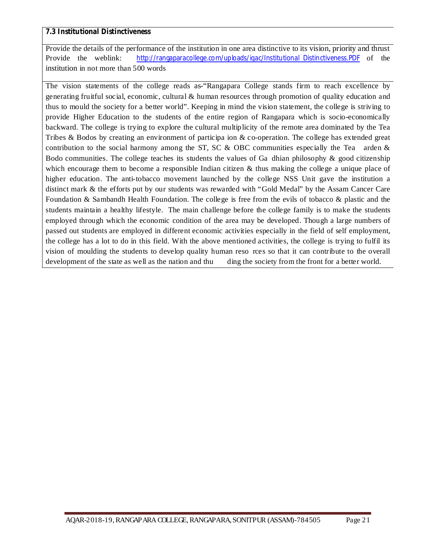### **7.3 Institutional Distinctiveness**

Provide the details of the performance of the institution in one area distinctive to its vision, priority and thrust Provide the weblink: http://rangaparacollege.com/uploads/iqac/Institutional\_Distinctiveness.PDF of the institution in not more than 500 words

The vision statements of the college reads as-"Rangapara College stands firm to reach excellence by generating fruitful social, economic, cultural & human resources through promotion of quality education and thus to mould the society for a better world". Keeping in mind the vision statement, the college is striving to provide Higher Education to the students of the entire region of Rangapara which is socio-economically backward. The college is trying to explore the cultural multiplicity of the remote area dominated by the Tea Tribes & Bodos by creating an environment of participa ion & co-operation. The college has extended great contribution to the social harmony among the ST, SC  $\&$  OBC communities especially the Tea arden  $\&$ Bodo communities. The college teaches its students the values of Ga dhian philosophy  $\&$  good citizenship which encourage them to become a responsible Indian citizen  $\&$  thus making the college a unique place of higher education. The anti-tobacco movement launched by the college NSS Unit gave the institution a distinct mark & the efforts put by our students was rewarded with "Gold Medal" by the Assam Cancer Care Foundation & Sambandh Health Foundation. The college is free from the evils of tobacco & plastic and the students maintain a healthy lifestyle. The main challenge before the college family is to make the students employed through which the economic condition of the area may be developed. Though a large numbers of passed out students are employed in different economic activities especially in the field of self employment, the college has a lot to do in this field. With the above mentioned activities, the college is trying to fulfil its vision of moulding the students to develop quality human reso rces so that it can contribute to the overall development of the state as well as the nation and thu ding the society from the front for a better world.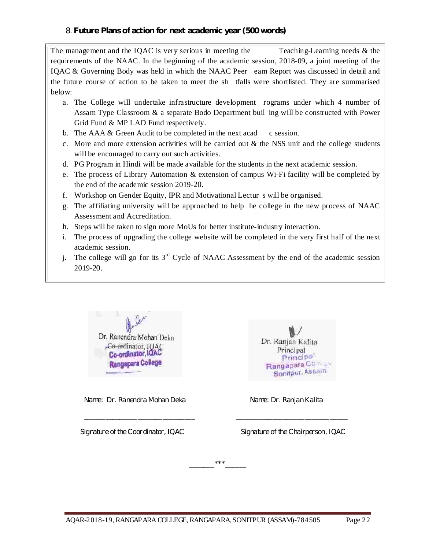The management and the IOAC is very serious in meeting the Teaching-Learning needs  $\&$  the requirements of the NAAC. In the beginning of the academic session, 2018-09, a joint meeting of the IQAC & Governing Body was held in which the NAAC Peer eam Report was discussed in detail and the future course of action to be taken to meet the sh tfalls were shortlisted. They are summarised below:

- a. The College will undertake infrastructure development rograms under which 4 number of Assam Type Classroom & a separate Bodo Department buil ing will be constructed with Power Grid Fund & MP LAD Fund respectively.
- b. The AAA  $&$  Green Audit to be completed in the next acad c session.
- c. More and more extension activities will be carried out  $\&$  the NSS unit and the college students will be encouraged to carry out such activities.
- d. PG Program in Hindi will be made available for the students in the next academic session.
- e. The process of Library Automation & extension of campus Wi-Fi facility will be completed by the end of the academic session 2019-20.
- f. Workshop on Gender Equity, IPR and Motivational Lectur s will be organised.
- g. The affiliating university will be approached to help he college in the new process of NAAC Assessment and Accreditation.
- h. Steps will be taken to sign more MoUs for better institute-industry interaction.
- i. The process of upgrading the college website will be completed in the very first half of the next academic session.
- j. The college will go for its  $3<sup>rd</sup>$  Cycle of NAAC Assessment by the end of the academic session 2019-20.



*Name: Dr. Ranendra Mohan Deka Name: Dr. Ranjan Kalita*



*Signature of the Coordinator, IQAC Signature of the Chairperson, IQAC*

*\_\_\_\_\_\_\_\*\*\*\_\_\_\_\_\_*

*\_\_\_\_\_\_\_\_\_\_\_\_\_\_\_\_\_\_\_\_\_\_\_\_\_\_\_\_\_\_\_ \_\_\_\_\_\_\_\_\_\_\_\_\_\_\_\_\_\_\_\_\_\_\_\_\_\_\_\_\_\_\_*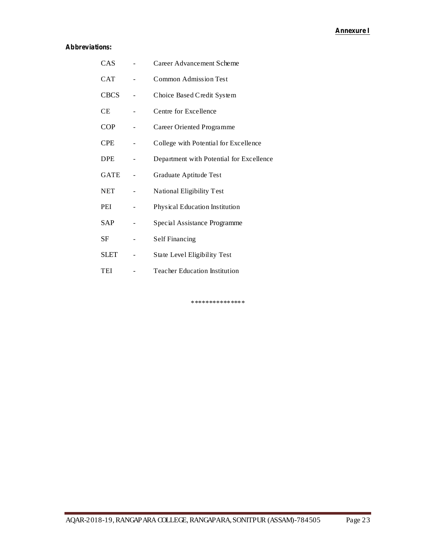## **Annexure I**

### **Abbreviations:**

| CAS         | Career Advancement Scheme                |
|-------------|------------------------------------------|
| <b>CAT</b>  | <b>Common Admission Test</b>             |
| <b>CBCS</b> | Choice Based Credit System               |
| <b>CE</b>   | Centre for Excellence                    |
| <b>COP</b>  | Career Oriented Programme                |
| <b>CPE</b>  | College with Potential for Excellence    |
| <b>DPE</b>  | Department with Potential for Excellence |
| <b>GATE</b> | Graduate Aptitude Test                   |
| <b>NET</b>  | National Eligibility Test                |
| PEI         | Physical Education Institution           |
| <b>SAP</b>  | Special Assistance Programme             |
| SF          | <b>Self Financing</b>                    |
| <b>SLET</b> | State Level Eligibility Test             |
| TEI         | Teacher Education Institution            |

\*\*\*\*\*\*\*\*\*\*\*\*\*\*\*